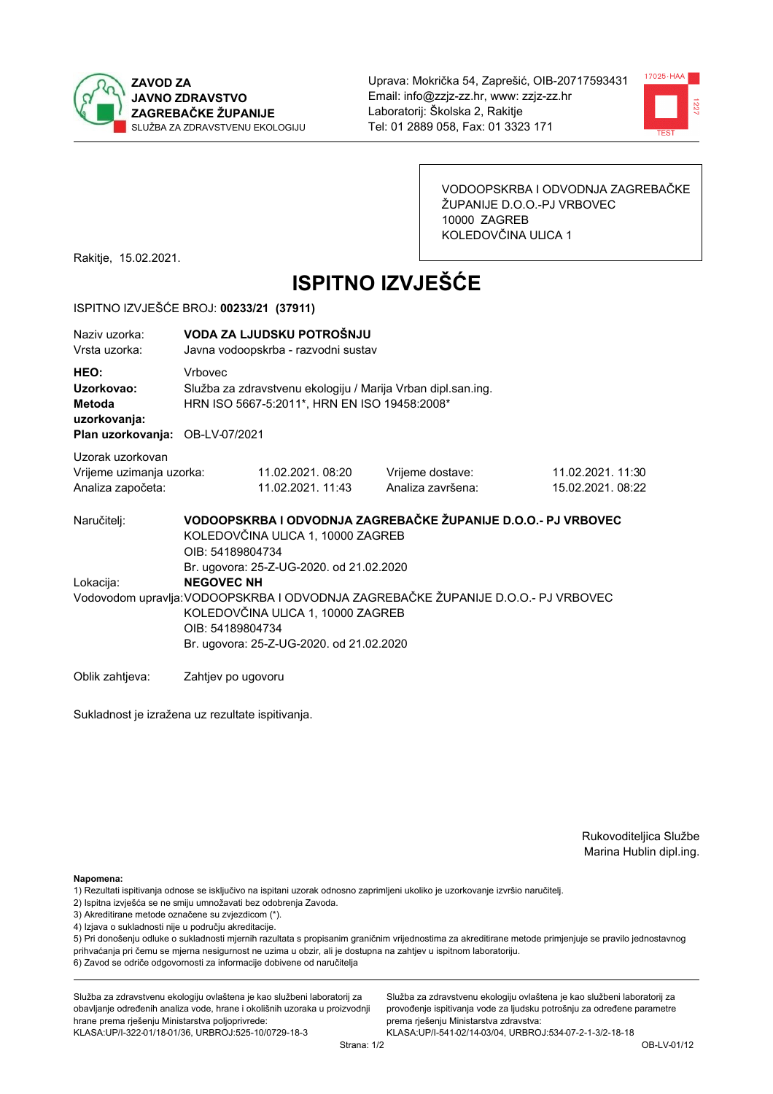



VODOOPSKRBA I ODVODNJA ZAGREBAČKE ŽUPANIJE D.O.O.-PJ VRBOVEC 10000 ZAGREB KOLEDOVČINA ULICA 1

Rakitje, 15.02.2021.

# **ISPITNO IZVJEŠĆE**

### ISPITNO IZVJEŠĆE BROJ: 00233/21 (37911)

| Naziv uzorka:<br>Vrsta uzorka:                                                  |                    | VODA ZA LJUDSKU POTROŠNJU<br>Javna vodoopskrba - razvodni sustav                                                                                                                                                                                        |                                                               |                                       |  |  |
|---------------------------------------------------------------------------------|--------------------|---------------------------------------------------------------------------------------------------------------------------------------------------------------------------------------------------------------------------------------------------------|---------------------------------------------------------------|---------------------------------------|--|--|
| HEO:<br>Uzorkovao:<br>Metoda<br>uzorkovanja:<br>Plan uzorkovanja: OB-LV-07/2021 | <b>Vrhovec</b>     | Služba za zdravstvenu ekologiju / Marija Vrban dipl.san.ing.<br>HRN ISO 5667-5:2011*, HRN EN ISO 19458:2008*                                                                                                                                            |                                                               |                                       |  |  |
| Uzorak uzorkovan<br>Vrijeme uzimanja uzorka:<br>Analiza započeta:               |                    | 11.02.2021.08:20<br>11.02.2021. 11:43                                                                                                                                                                                                                   | Vrijeme dostave:<br>Analiza završena:                         | 11.02.2021. 11:30<br>15.02.2021.08:22 |  |  |
| Naručitelj:                                                                     | OIB: 54189804734   | KOLEDOVČINA ULICA 1, 10000 ZAGREB                                                                                                                                                                                                                       | VODOOPSKRBA I ODVODNJA ZAGREBAČKE ŽUPANIJE D.O.O.- PJ VRBOVEC |                                       |  |  |
| Lokacija:                                                                       |                    | Br. ugovora: 25-Z-UG-2020. od 21.02.2020<br><b>NEGOVEC NH</b><br>Vodovodom upravlja: VODOOPSKRBA I ODVODNJA ZAGREBAČKE ŽUPANIJE D.O.O.- PJ VRBOVEC<br>KOLEDOVČINA ULICA 1, 10000 ZAGREB<br>OIB: 54189804734<br>Br. ugovora: 25-Z-UG-2020. od 21.02.2020 |                                                               |                                       |  |  |
| Oblik zahtieva:                                                                 | Zahtjev po ugovoru |                                                                                                                                                                                                                                                         |                                                               |                                       |  |  |

Sukladnost je izražena uz rezultate ispitivanja.

Rukovoditeljica Službe Marina Hublin dipl.ing.

Napomena:

- 1) Rezultati ispitivanja odnose se isključivo na ispitani uzorak odnosno zaprimljeni ukoliko je uzorkovanje izvršio naručiteli.
- 2) Ispitna izvješća se ne smiju umnožavati bez odobrenja Zavoda.
- 3) Akreditirane metode označene su zvjezdicom (\*).
- 4) Izjava o sukladnosti nije u području akreditacije.

5) Pri donošenju odluke o sukladnosti mjernih razultata s propisanim graničnim vrijednostima za akreditirane metode primjenjuje se pravilo jednostavnog prihvaćanja pri čemu se mjerna nesigurnost ne uzima u obzir, ali je dostupna na zahtjev u ispitnom laboratoriju.

6) Zavod se odriče odgovornosti za informacije dobivene od naručitelja

Služba za zdravstvenu ekologiju ovlaštena je kao službeni laboratorij za obavljanje određenih analiza vode, hrane i okolišnih uzoraka u proizvodnji hrane prema rješenju Ministarstva poljoprivrede: KLASA: UP/I-322-01/18-01/36, URBROJ: 525-10/0729-18-3

Služba za zdravstvenu ekologiju ovlaštena je kao službeni laboratorij za provođenje ispitivanja vode za ljudsku potrošnju za određene parametre prema riešenju Ministarstva zdravstva: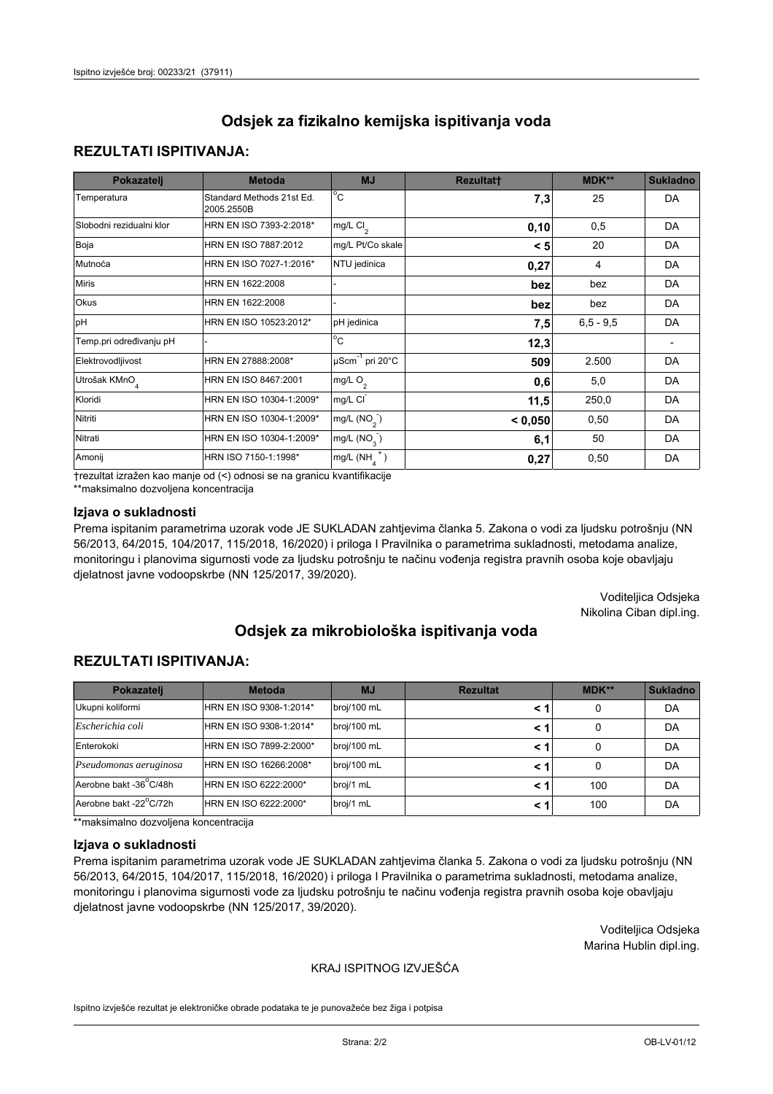## **REZULTATI ISPITIVANJA:**

| Pokazatelj                | <b>Metoda</b>                           | <b>MJ</b>                   | <b>Rezultatt</b> | MDK**       | <b>Sukladno</b> |
|---------------------------|-----------------------------------------|-----------------------------|------------------|-------------|-----------------|
| Temperatura               | Standard Methods 21st Ed.<br>2005.2550B | $^{\circ}$ C                | 7,3              | 25          | <b>DA</b>       |
| Slobodni rezidualni klor  | HRN EN ISO 7393-2:2018*                 | $mg/L$ Cl <sub>2</sub>      | 0, 10            | 0,5         | DA              |
| Boja                      | HRN EN ISO 7887:2012                    | mg/L Pt/Co skale            | < 5              | 20          | DA              |
| Mutnoća                   | HRN EN ISO 7027-1:2016*                 | NTU jedinica                | 0,27             | 4           | DA              |
| <b>Miris</b>              | HRN EN 1622:2008                        |                             | bez              | bez         | DA              |
| Okus                      | HRN EN 1622:2008                        |                             | bez              | bez         | DA              |
| pH                        | HRN EN ISO 10523:2012*                  | pH jedinica                 | 7,5              | $6,5 - 9,5$ | <b>DA</b>       |
| Temp.pri određivanju pH   |                                         | $\overline{c}$              | 12,3             |             |                 |
| Elektrovodljivost         | HRN EN 27888:2008*                      | µScm <sup>-1</sup> pri 20°C | 509              | 2.500       | DA              |
| Utrošak KMnO <sub>4</sub> | HRN EN ISO 8467:2001                    | mg/L O <sub>2</sub>         | 0,6              | 5,0         | DA              |
| Kloridi                   | HRN EN ISO 10304-1:2009*                | mg/L CI                     | 11,5             | 250,0       | DA              |
| Nitriti                   | HRN EN ISO 10304-1:2009*                | mg/L $(NO2)$                | < 0,050          | 0,50        | DA              |
| Nitrati                   | HRN EN ISO 10304-1:2009*                | mg/L (NO <sub>3</sub> )     | 6,1              | 50          | DA              |
| Amonij                    | HRN ISO 7150-1:1998*                    | $mg/L(NH_A^+)$              | 0,27             | 0,50        | DA              |

trezultat izražen kao manje od (<) odnosi se na granicu kvantifikacije

\*\*maksimalno dozvoljena koncentracija

### Izjava o sukladnosti

Prema ispitanim parametrima uzorak vode JE SUKLADAN zahtjevima članka 5. Zakona o vodi za ljudsku potrošnju (NN 56/2013, 64/2015, 104/2017, 115/2018, 16/2020) i priloga I Pravilnika o parametrima sukladnosti, metodama analize, monitoringu i planovima sigurnosti vode za ljudsku potrošnju te načinu vođenja registra pravnih osoba koje obavljaju djelatnost javne vodoopskrbe (NN 125/2017, 39/2020).

> Voditeljica Odsjeka Nikolina Ciban dipl.ing.

# Odsiek za mikrobiološka ispitivanja voda

## **REZULTATI ISPITIVANJA:**

| Pokazatelj             | <b>Metoda</b>           | <b>MJ</b>   | <b>Rezultat</b> | MDK** | Sukladno |
|------------------------|-------------------------|-------------|-----------------|-------|----------|
| Ukupni koliformi       | HRN EN ISO 9308-1:2014* | broj/100 mL |                 | 0     | DA       |
| Escherichia coli       | HRN EN ISO 9308-1:2014* | broj/100 mL | < 1             | 0     | DA       |
| Enterokoki             | HRN EN ISO 7899-2:2000* | broj/100 mL | < 1             | 0     | DA       |
| Pseudomonas aeruginosa | HRN EN ISO 16266:2008*  | broj/100 mL | < 1             | 0     | DA       |
| Aerobne bakt -36°C/48h | HRN EN ISO 6222:2000*   | broj/1 mL   | < 1             | 100   | DA       |
| Aerobne bakt -22°C/72h | HRN EN ISO 6222:2000*   | broj/1 mL   | < 1             | 100   | DA       |

\*\*maksimalno dozvoljena koncentracija

#### Izjava o sukladnosti

Prema ispitanim parametrima uzorak vode JE SUKLADAN zahtjevima članka 5. Zakona o vodi za ljudsku potrošnju (NN 56/2013, 64/2015, 104/2017, 115/2018, 16/2020) i priloga I Pravilnika o parametrima sukladnosti, metodama analize, monitoringu i planovima sigurnosti vode za ljudsku potrošnju te načinu vođenja registra pravnih osoba koje obavljaju djelatnost javne vodoopskrbe (NN 125/2017, 39/2020).

> Voditeljica Odsjeka Marina Hublin dipl.ing.

### KRAJ ISPITNOG IZVJEŠĆA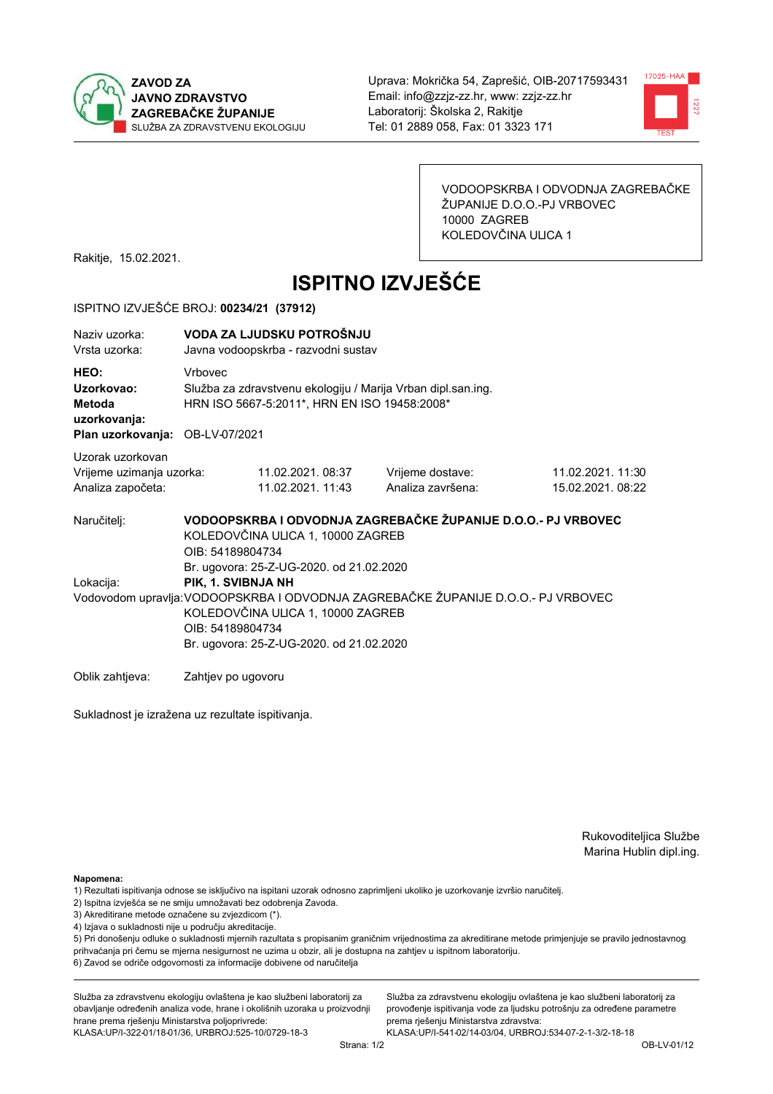



VODOOPSKRBA I ODVODNJA ZAGREBAČKE ŽUPANIJE D.O.O.-PJ VRBOVEC 10000 ZAGREB KOLEDOVČINA ULICA 1

Rakitje, 15.02.2021.

# **ISPITNO IZVJEŠĆE**

### ISPITNO IZVJEŠĆE BROJ: 00234/21 (37912)

| Naziy uzorka:<br>Vrsta uzorka:                                                  |                  | VODA ZA LJUDSKU POTROŠNJU<br>Javna vodoopskrba - razvodni sustav                                             |                                                                                   |                                       |  |  |
|---------------------------------------------------------------------------------|------------------|--------------------------------------------------------------------------------------------------------------|-----------------------------------------------------------------------------------|---------------------------------------|--|--|
| HEO:<br>Uzorkovao:<br>Metoda<br>uzorkovanja:<br>Plan uzorkovanja: OB-LV-07/2021 | <b>Vrhovec</b>   | Služba za zdravstvenu ekologiju / Marija Vrban dipl.san.ing.<br>HRN ISO 5667-5:2011*, HRN EN ISO 19458:2008* |                                                                                   |                                       |  |  |
|                                                                                 |                  |                                                                                                              |                                                                                   |                                       |  |  |
| Uzorak uzorkovan<br>Vrijeme uzimanja uzorka:<br>Analiza započeta:               |                  | 11.02.2021.08:37<br>11.02.2021. 11:43                                                                        | Vrijeme dostave:<br>Analiza završena:                                             | 11.02.2021. 11:30<br>15.02.2021.08:22 |  |  |
| Naručiteli:                                                                     | OIB: 54189804734 | KOLEDOVČINA ULICA 1, 10000 ZAGREB<br>Br. ugovora: 25-Z-UG-2020. od 21.02.2020                                | VODOOPSKRBA I ODVODNJA ZAGREBAČKE ŽUPANIJE D.O.O.- PJ VRBOVEC                     |                                       |  |  |
| Lokacija:                                                                       |                  | PIK, 1. SVIBNJA NH                                                                                           |                                                                                   |                                       |  |  |
|                                                                                 | OIB: 54189804734 | KOLEDOVČINA ULICA 1, 10000 ZAGREB<br>Br. ugovora: 25-Z-UG-2020. od 21.02.2020                                | Vodovodom upravlja: VODOOPSKRBA I ODVODNJA ZAGREBAČKE ŽUPANIJE D.O.O.- PJ VRBOVEC |                                       |  |  |
| Oblik zahtieva:                                                                 |                  | Zahtjev po ugovoru                                                                                           |                                                                                   |                                       |  |  |

Sukladnost je izražena uz rezultate ispitivanja.

Rukovoditeljica Službe Marina Hublin dipl.ing.

Napomena:

- 1) Rezultati ispitivanja odnose se isključivo na ispitani uzorak odnosno zaprimljeni ukoliko je uzorkovanje izvršio naručiteli.
- 2) Ispitna izvješća se ne smiju umnožavati bez odobrenja Zavoda.
- 3) Akreditirane metode označene su zvjezdicom (\*).
- 4) Izjava o sukladnosti nije u području akreditacije.

5) Pri donošenju odluke o sukladnosti mjernih razultata s propisanim graničnim vrijednostima za akreditirane metode primjenjuje se pravilo jednostavnog prihvaćanja pri čemu se mjerna nesigurnost ne uzima u obzir, ali je dostupna na zahtjev u ispitnom laboratoriju.

6) Zavod se odriče odgovornosti za informacije dobivene od naručitelja

Služba za zdravstvenu ekologiju ovlaštena je kao službeni laboratorij za obavljanje određenih analiza vode, hrane i okolišnih uzoraka u proizvodnji hrane prema rješenju Ministarstva poljoprivrede: KLASA: UP/I-322-01/18-01/36, URBROJ: 525-10/0729-18-3

Služba za zdravstvenu ekologiju ovlaštena je kao službeni laboratorij za provođenje ispitivanja vode za ljudsku potrošnju za određene parametre prema riešenju Ministarstva zdravstva: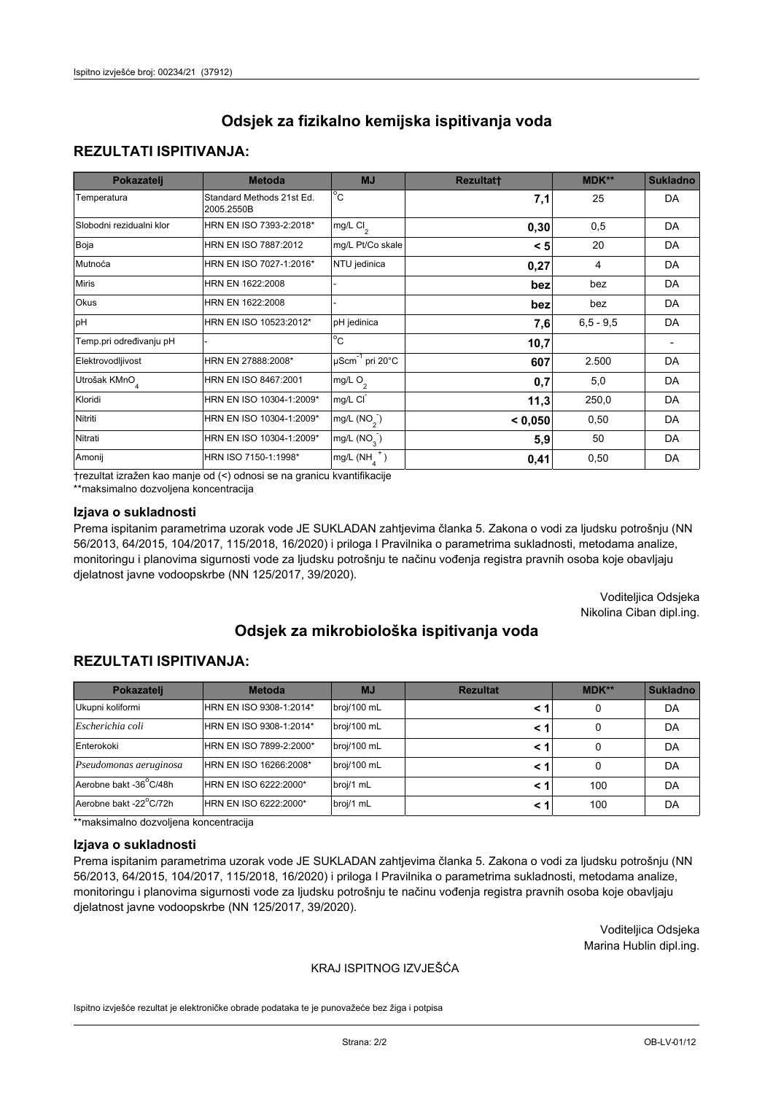## **REZULTATI ISPITIVANJA:**

| Pokazatelj                | <b>Metoda</b>                           | <b>MJ</b>                   | <b>Rezultatt</b> | MDK**         | <b>Sukladno</b> |
|---------------------------|-----------------------------------------|-----------------------------|------------------|---------------|-----------------|
| Temperatura               | Standard Methods 21st Ed.<br>2005.2550B | $^{\circ}$ C                | 7,1              | 25            | DA              |
| Slobodni rezidualni klor  | HRN EN ISO 7393-2:2018*                 | $mg/L$ Cl <sub>2</sub>      | 0,30             | 0,5           | DA              |
| Boja                      | HRN EN ISO 7887:2012                    | mg/L Pt/Co skale            | < 5              | 20            | DA              |
| Mutnoća                   | HRN EN ISO 7027-1:2016*                 | NTU jedinica                | 0,27             | 4             | DA              |
| <b>Miris</b>              | HRN EN 1622:2008                        |                             | bez              | bez           | DA              |
| Okus                      | HRN EN 1622:2008                        |                             | bez              | bez           | DA              |
| pH                        | HRN EN ISO 10523:2012*                  | pH jedinica                 | 7,6              | $6, 5 - 9, 5$ | <b>DA</b>       |
| Temp.pri određivanju pH   |                                         | $\overline{c}$              | 10,7             |               |                 |
| Elektrovodljivost         | HRN EN 27888:2008*                      | µScm <sup>-1</sup> pri 20°C | 607              | 2.500         | DA              |
| Utrošak KMnO <sub>4</sub> | HRN EN ISO 8467:2001                    | mg/L O <sub>2</sub>         | 0,7              | 5,0           | DA              |
| Kloridi                   | HRN EN ISO 10304-1:2009*                | mg/L CI                     | 11,3             | 250,0         | DA              |
| Nitriti                   | HRN EN ISO 10304-1:2009*                | mg/L $(NO2)$                | < 0,050          | 0,50          | DA              |
| Nitrati                   | HRN EN ISO 10304-1:2009*                | mg/L (NO <sub>3</sub> )     | 5,9              | 50            | <b>DA</b>       |
| Amonij                    | HRN ISO 7150-1:1998*                    | $mg/L(NH_A^+)$              | 0,41             | 0,50          | DA              |

trezultat izražen kao manje od (<) odnosi se na granicu kvantifikacije

\*\*maksimalno dozvoljena koncentracija

### Izjava o sukladnosti

Prema ispitanim parametrima uzorak vode JE SUKLADAN zahtjevima članka 5. Zakona o vodi za ljudsku potrošnju (NN 56/2013, 64/2015, 104/2017, 115/2018, 16/2020) i priloga I Pravilnika o parametrima sukladnosti, metodama analize, monitoringu i planovima sigurnosti vode za ljudsku potrošnju te načinu vođenja registra pravnih osoba koje obavljaju djelatnost javne vodoopskrbe (NN 125/2017, 39/2020).

> Voditeljica Odsjeka Nikolina Ciban dipl.ing.

# Odsiek za mikrobiološka ispitivanja voda

## **REZULTATI ISPITIVANJA:**

| Pokazatelj             | <b>Metoda</b>           | <b>MJ</b>   | <b>Rezultat</b> | $MDK**$ | <b>Sukladno</b> |
|------------------------|-------------------------|-------------|-----------------|---------|-----------------|
| Ukupni koliformi       | HRN EN ISO 9308-1:2014* | broj/100 mL | < 1             | 0       | DA              |
| Escherichia coli       | HRN EN ISO 9308-1:2014* | broj/100 mL | < 1             | 0       | DA              |
| Enterokoki             | HRN EN ISO 7899-2:2000* | broj/100 mL | < 1             |         | DA              |
| Pseudomonas aeruginosa | HRN EN ISO 16266:2008*  | broj/100 mL | < 1             | 0       | DA              |
| Aerobne bakt -36°C/48h | HRN EN ISO 6222:2000*   | broj/1 mL   | < 1             | 100     | DA              |
| Aerobne bakt -22°C/72h | HRN EN ISO 6222:2000*   | broj/1 mL   | < 1             | 100     | DA              |

\*\*maksimalno dozvoljena koncentracija

#### Izjava o sukladnosti

Prema ispitanim parametrima uzorak vode JE SUKLADAN zahtjevima članka 5. Zakona o vodi za ljudsku potrošnju (NN 56/2013, 64/2015, 104/2017, 115/2018, 16/2020) i priloga I Pravilnika o parametrima sukladnosti, metodama analize, monitoringu i planovima sigurnosti vode za ljudsku potrošnju te načinu vođenja registra pravnih osoba koje obavljaju djelatnost javne vodoopskrbe (NN 125/2017, 39/2020).

> Voditeljica Odsjeka Marina Hublin dipl.ing.

### KRAJ ISPITNOG IZVJEŠĆA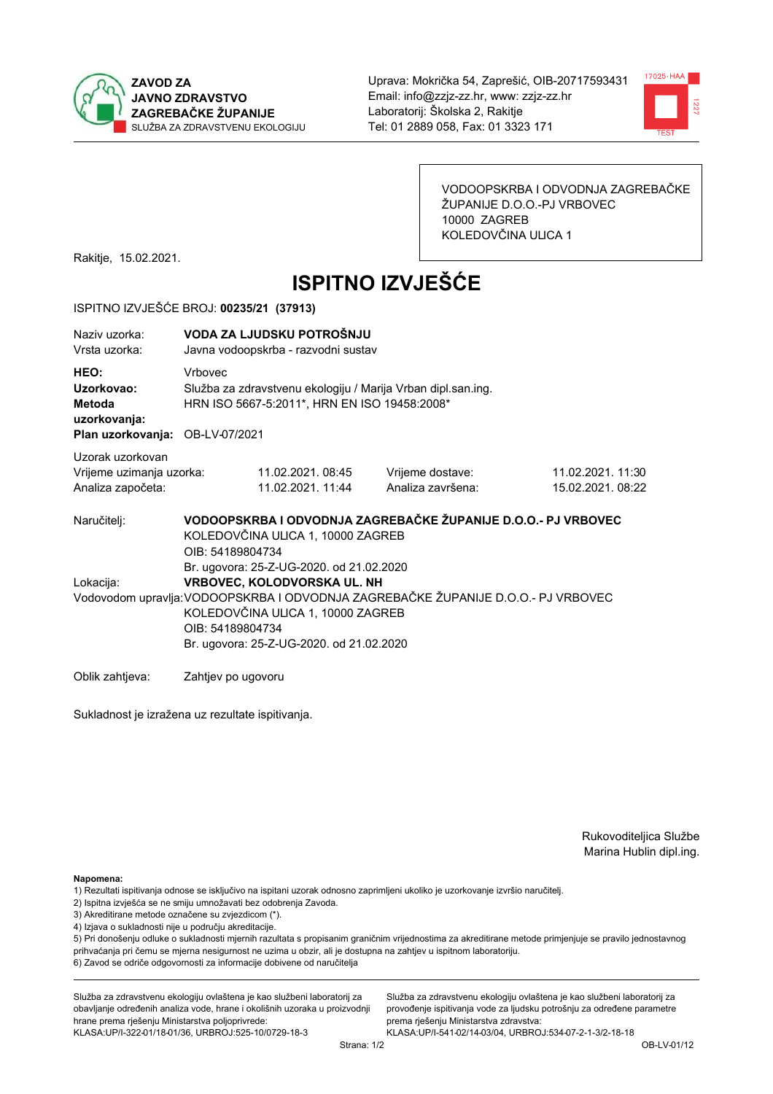



VODOOPSKRBA I ODVODNJA ZAGREBAČKE ŽUPANIJE D.O.O.-PJ VRBOVEC 10000 ZAGREB KOLEDOVČINA ULICA 1

Rakitje, 15.02.2021.

# **ISPITNO IZVJEŠĆE**

### ISPITNO IZVJEŠĆE BROJ: 00235/21 (37913)

| Naziv uzorka:<br>Vrsta uzorka:                                                  |                                                                                                                                                                                                                                                                   | VODA ZA LJUDSKU POTROŠNJU<br>Javna vodoopskrba - razvodni sustav                                             |                                                               |                                       |  |  |
|---------------------------------------------------------------------------------|-------------------------------------------------------------------------------------------------------------------------------------------------------------------------------------------------------------------------------------------------------------------|--------------------------------------------------------------------------------------------------------------|---------------------------------------------------------------|---------------------------------------|--|--|
| HEO:<br>Uzorkovao:<br>Metoda<br>uzorkovanja:<br>Plan uzorkovanja: OB-LV-07/2021 | Vrbovec                                                                                                                                                                                                                                                           | Služba za zdravstvenu ekologiju / Marija Vrban dipl.san.ing.<br>HRN ISO 5667-5:2011*, HRN EN ISO 19458:2008* |                                                               |                                       |  |  |
| Uzorak uzorkovan<br>Vrijeme uzimanja uzorka:<br>Analiza započeta:               |                                                                                                                                                                                                                                                                   | 11.02.2021.08:45<br>11.02.2021. 11:44                                                                        | Vrijeme dostave:<br>Analiza završena:                         | 11.02.2021. 11:30<br>15.02.2021.08:22 |  |  |
| Naručitelj:                                                                     | OIB: 54189804734                                                                                                                                                                                                                                                  | KOLEDOVČINA ULICA 1, 10000 ZAGREB                                                                            | VODOOPSKRBA I ODVODNJA ZAGREBAČKE ŽUPANIJE D.O.O.- PJ VRBOVEC |                                       |  |  |
| Lokacija:                                                                       | Br. ugovora: 25-Z-UG-2020. od 21.02.2020<br>VRBOVEC, KOLODVORSKA UL. NH<br>Vodovodom upravlja: VODOOPSKRBA I ODVODNJA ZAGREBAČKE ŽUPANIJE D.O.O.- PJ VRBOVEC<br>KOLEDOVČINA ULICA 1, 10000 ZAGREB<br>OIB: 54189804734<br>Br. ugovora: 25-Z-UG-2020. od 21.02.2020 |                                                                                                              |                                                               |                                       |  |  |
| Oblik zahtjeva:                                                                 | Zahtjev po ugovoru                                                                                                                                                                                                                                                |                                                                                                              |                                                               |                                       |  |  |

Sukladnost je izražena uz rezultate ispitivanja.

Rukovoditeljica Službe Marina Hublin dipl.ing.

Napomena:

- 1) Rezultati ispitivanja odnose se isključivo na ispitani uzorak odnosno zaprimljeni ukoliko je uzorkovanje izvršio naručiteli.
- 2) Ispitna izvješća se ne smiju umnožavati bez odobrenja Zavoda.
- 3) Akreditirane metode označene su zvjezdicom (\*).
- 4) Izjava o sukladnosti nije u području akreditacije.

5) Pri donošenju odluke o sukladnosti mjernih razultata s propisanim graničnim vrijednostima za akreditirane metode primjenjuje se pravilo jednostavnog prihvaćanja pri čemu se mjerna nesigurnost ne uzima u obzir, ali je dostupna na zahtjev u ispitnom laboratoriju.

6) Zavod se odriče odgovornosti za informacije dobivene od naručitelja

Služba za zdravstvenu ekologiju ovlaštena je kao službeni laboratorij za obavljanje određenih analiza vode, hrane i okolišnih uzoraka u proizvodnji hrane prema rješenju Ministarstva poljoprivrede: KLASA: UP/I-322-01/18-01/36, URBROJ: 525-10/0729-18-3

Služba za zdravstvenu ekologiju ovlaštena je kao službeni laboratorij za provođenje ispitivanja vode za ljudsku potrošnju za određene parametre prema riešenju Ministarstva zdravstva: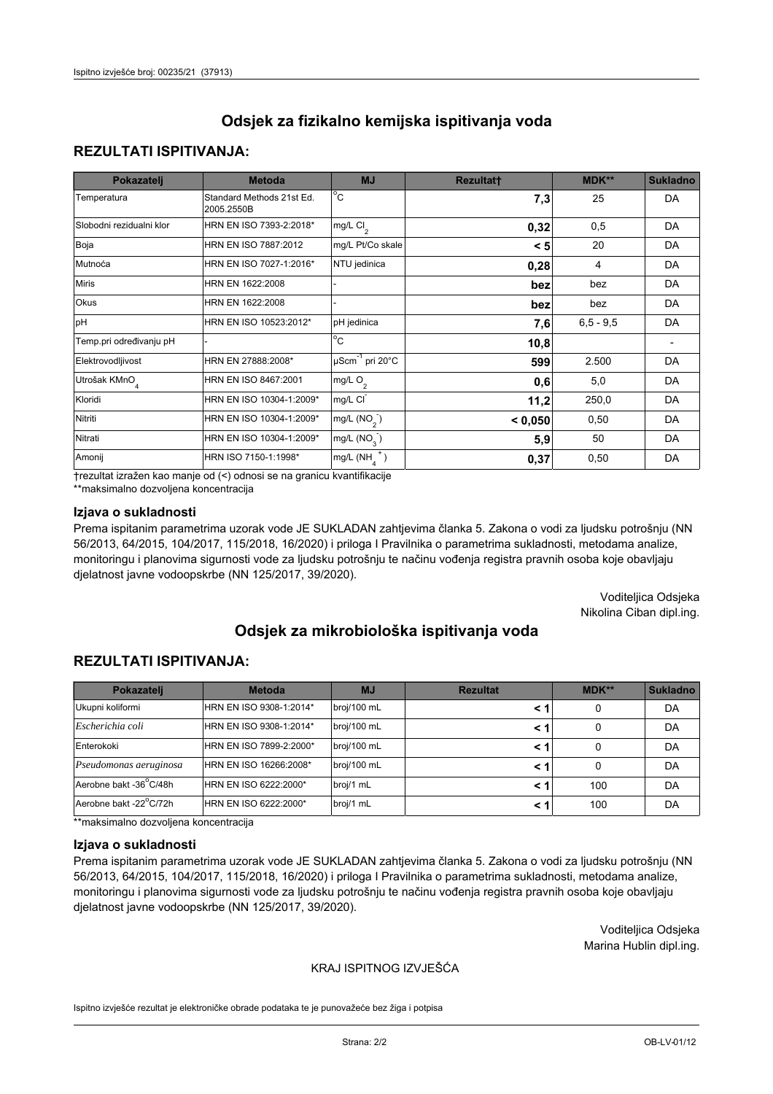## **REZULTATI ISPITIVANJA:**

| Pokazatelj                | <b>Metoda</b>                           | <b>MJ</b>                   | <b>Rezultatt</b> | MDK**       | <b>Sukladno</b> |
|---------------------------|-----------------------------------------|-----------------------------|------------------|-------------|-----------------|
| Temperatura               | Standard Methods 21st Ed.<br>2005.2550B | $^{\circ}$ C                | 7,3              | 25          | <b>DA</b>       |
| Slobodni rezidualni klor  | HRN EN ISO 7393-2:2018*                 | $mg/L$ Cl <sub>2</sub>      | 0,32             | 0,5         | DA              |
| Boja                      | HRN EN ISO 7887:2012                    | mg/L Pt/Co skale            | < 5              | 20          | DA              |
| Mutnoća                   | HRN EN ISO 7027-1:2016*                 | NTU jedinica                | 0,28             | 4           | DA              |
| <b>Miris</b>              | HRN EN 1622:2008                        |                             | bez              | bez         | DA              |
| Okus                      | HRN EN 1622:2008                        |                             | bez              | bez         | DA              |
| pH                        | HRN EN ISO 10523:2012*                  | pH jedinica                 | 7,6              | $6,5 - 9,5$ | <b>DA</b>       |
| Temp.pri određivanju pH   |                                         | $\overline{c}$              | 10,8             |             |                 |
| Elektrovodljivost         | HRN EN 27888:2008*                      | µScm <sup>-1</sup> pri 20°C | 599              | 2.500       | DA              |
| Utrošak KMnO <sub>4</sub> | HRN EN ISO 8467:2001                    | mg/L O <sub>2</sub>         | 0,6              | 5,0         | DA              |
| Kloridi                   | HRN EN ISO 10304-1:2009*                | mg/L CI                     | 11,2             | 250,0       | DA              |
| Nitriti                   | HRN EN ISO 10304-1:2009*                | mg/L $(NO2)$                | < 0,050          | 0,50        | DA              |
| Nitrati                   | HRN EN ISO 10304-1:2009*                | mg/L (NO <sub>3</sub> )     | 5,9              | 50          | DA              |
| Amonij                    | HRN ISO 7150-1:1998*                    | $mg/L(NH_A^+)$              | 0,37             | 0,50        | DA              |

trezultat izražen kao manje od (<) odnosi se na granicu kvantifikacije

\*\*maksimalno dozvoljena koncentracija

### Izjava o sukladnosti

Prema ispitanim parametrima uzorak vode JE SUKLADAN zahtjevima članka 5. Zakona o vodi za ljudsku potrošnju (NN 56/2013, 64/2015, 104/2017, 115/2018, 16/2020) i priloga I Pravilnika o parametrima sukladnosti, metodama analize, monitoringu i planovima sigurnosti vode za ljudsku potrošnju te načinu vođenja registra pravnih osoba koje obavljaju djelatnost javne vodoopskrbe (NN 125/2017, 39/2020).

> Voditeljica Odsjeka Nikolina Ciban dipl.ing.

# Odsiek za mikrobiološka ispitivanja voda

## **REZULTATI ISPITIVANJA:**

| Pokazatelj             | <b>Metoda</b>           | <b>MJ</b>   | <b>Rezultat</b> | MDK** | Sukladno |
|------------------------|-------------------------|-------------|-----------------|-------|----------|
| Ukupni koliformi       | HRN EN ISO 9308-1:2014* | broj/100 mL |                 | 0     | DA       |
| Escherichia coli       | HRN EN ISO 9308-1:2014* | broj/100 mL | < 1             | 0     | DA       |
| Enterokoki             | HRN EN ISO 7899-2:2000* | broj/100 mL | < 1             | 0     | DA       |
| Pseudomonas aeruginosa | HRN EN ISO 16266:2008*  | broj/100 mL | < 1             | 0     | DA       |
| Aerobne bakt -36°C/48h | HRN EN ISO 6222:2000*   | broj/1 mL   | < 1             | 100   | DA       |
| Aerobne bakt -22°C/72h | HRN EN ISO 6222:2000*   | broj/1 mL   | < 1             | 100   | DA       |

\*\*maksimalno dozvoljena koncentracija

#### Izjava o sukladnosti

Prema ispitanim parametrima uzorak vode JE SUKLADAN zahtjevima članka 5. Zakona o vodi za ljudsku potrošnju (NN 56/2013, 64/2015, 104/2017, 115/2018, 16/2020) i priloga I Pravilnika o parametrima sukladnosti, metodama analize, monitoringu i planovima sigurnosti vode za ljudsku potrošnju te načinu vođenja registra pravnih osoba koje obavljaju djelatnost javne vodoopskrbe (NN 125/2017, 39/2020).

> Voditeljica Odsjeka Marina Hublin dipl.ing.

### KRAJ ISPITNOG IZVJEŠĆA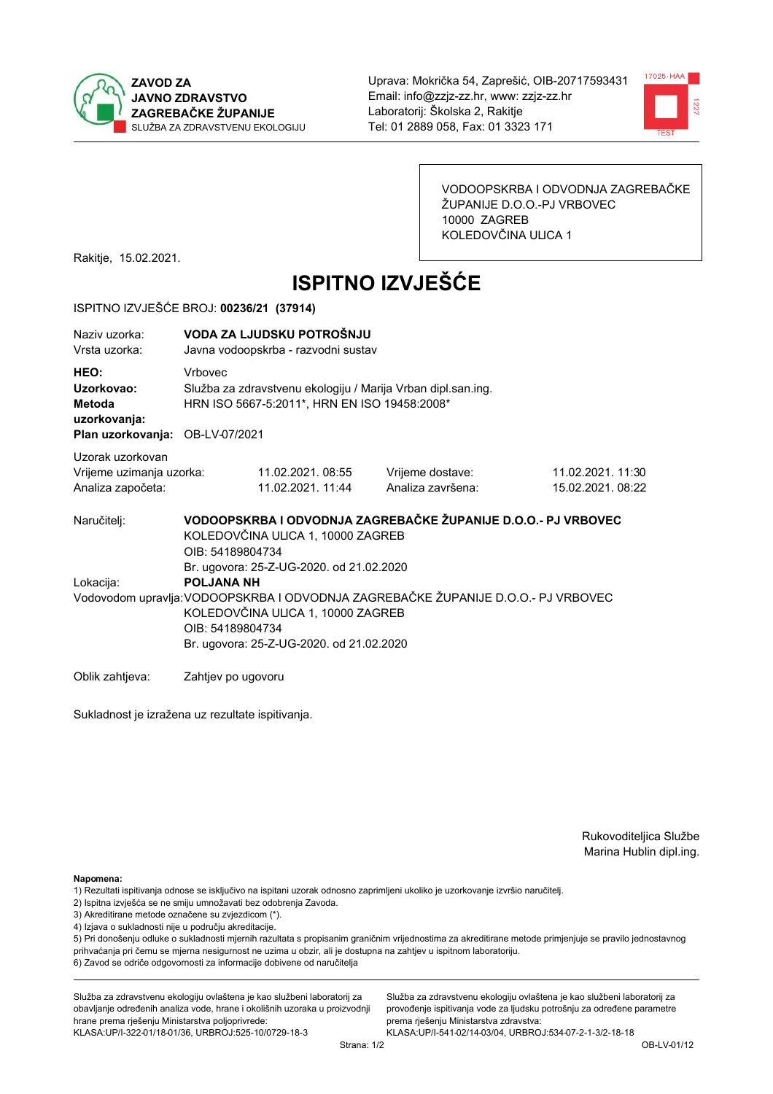



VODOOPSKRBA I ODVODNJA ZAGREBAČKE ŽUPANIJE D.O.O.-PJ VRBOVEC 10000 ZAGREB KOLEDOVČINA ULICA 1

Rakitje, 15.02.2021.

# **ISPITNO IZVJEŠĆE**

### ISPITNO IZVJEŠĆE BROJ: 00236/21 (37914)

| Naziv uzorka:<br>Vrsta uzorka:                                                  |                                                                                                                                                                                                                                                         | VODA ZA LJUDSKU POTROŠNJU<br>Javna vodoopskrba - razvodni sustav                                             |                                                               |                                       |  |  |
|---------------------------------------------------------------------------------|---------------------------------------------------------------------------------------------------------------------------------------------------------------------------------------------------------------------------------------------------------|--------------------------------------------------------------------------------------------------------------|---------------------------------------------------------------|---------------------------------------|--|--|
| HEO:<br>Uzorkovao:<br>Metoda<br>uzorkovanja:<br>Plan uzorkovanja: OB-LV-07/2021 | <b>Vrhovec</b>                                                                                                                                                                                                                                          | Služba za zdravstvenu ekologiju / Marija Vrban dipl.san.ing.<br>HRN ISO 5667-5:2011*, HRN EN ISO 19458:2008* |                                                               |                                       |  |  |
| Uzorak uzorkovan<br>Vrijeme uzimanja uzorka:<br>Analiza započeta:               |                                                                                                                                                                                                                                                         | 11.02.2021.08:55<br>11.02.2021. 11:44                                                                        | Vrijeme dostave:<br>Analiza završena:                         | 11.02.2021. 11:30<br>15.02.2021.08:22 |  |  |
| Naručitelj:                                                                     | OIB: 54189804734                                                                                                                                                                                                                                        | KOLEDOVČINA ULICA 1, 10000 ZAGREB                                                                            | VODOOPSKRBA I ODVODNJA ZAGREBAČKE ŽUPANIJE D.O.O.- PJ VRBOVEC |                                       |  |  |
| Lokacija:                                                                       | Br. ugovora: 25-Z-UG-2020. od 21.02.2020<br><b>POLJANA NH</b><br>Vodovodom upravlja: VODOOPSKRBA I ODVODNJA ZAGREBAČKE ŽUPANIJE D.O.O.- PJ VRBOVEC<br>KOLEDOVČINA ULICA 1, 10000 ZAGREB<br>OIB: 54189804734<br>Br. ugovora: 25-Z-UG-2020. od 21.02.2020 |                                                                                                              |                                                               |                                       |  |  |
| Oblik zahtjeva:                                                                 | Zahtjev po ugovoru                                                                                                                                                                                                                                      |                                                                                                              |                                                               |                                       |  |  |

Sukladnost je izražena uz rezultate ispitivanja.

Rukovoditeljica Službe Marina Hublin dipl.ing.

Napomena:

- 2) Ispitna izvješća se ne smiju umnožavati bez odobrenja Zavoda.
- 3) Akreditirane metode označene su zvjezdicom (\*).
- 4) Izjava o sukladnosti nije u području akreditacije.

5) Pri donošenju odluke o sukladnosti mjernih razultata s propisanim graničnim vrijednostima za akreditirane metode primjenjuje se pravilo jednostavnog prihvaćanja pri čemu se mjerna nesigurnost ne uzima u obzir, ali je dostupna na zahtjev u ispitnom laboratoriju.

6) Zavod se odriče odgovornosti za informacije dobivene od naručitelja

Služba za zdravstvenu ekologiju ovlaštena je kao službeni laboratorij za obavljanje određenih analiza vode, hrane i okolišnih uzoraka u proizvodnji hrane prema rješenju Ministarstva poljoprivrede: KLASA: UP/I-322-01/18-01/36, URBROJ: 525-10/0729-18-3

Služba za zdravstvenu ekologiju ovlaštena je kao službeni laboratorij za provođenje ispitivanja vode za ljudsku potrošnju za određene parametre prema riešenju Ministarstva zdravstva:

<sup>1)</sup> Rezultati ispitivanja odnose se isključivo na ispitani uzorak odnosno zaprimljeni ukoliko je uzorkovanje izvršio naručiteli.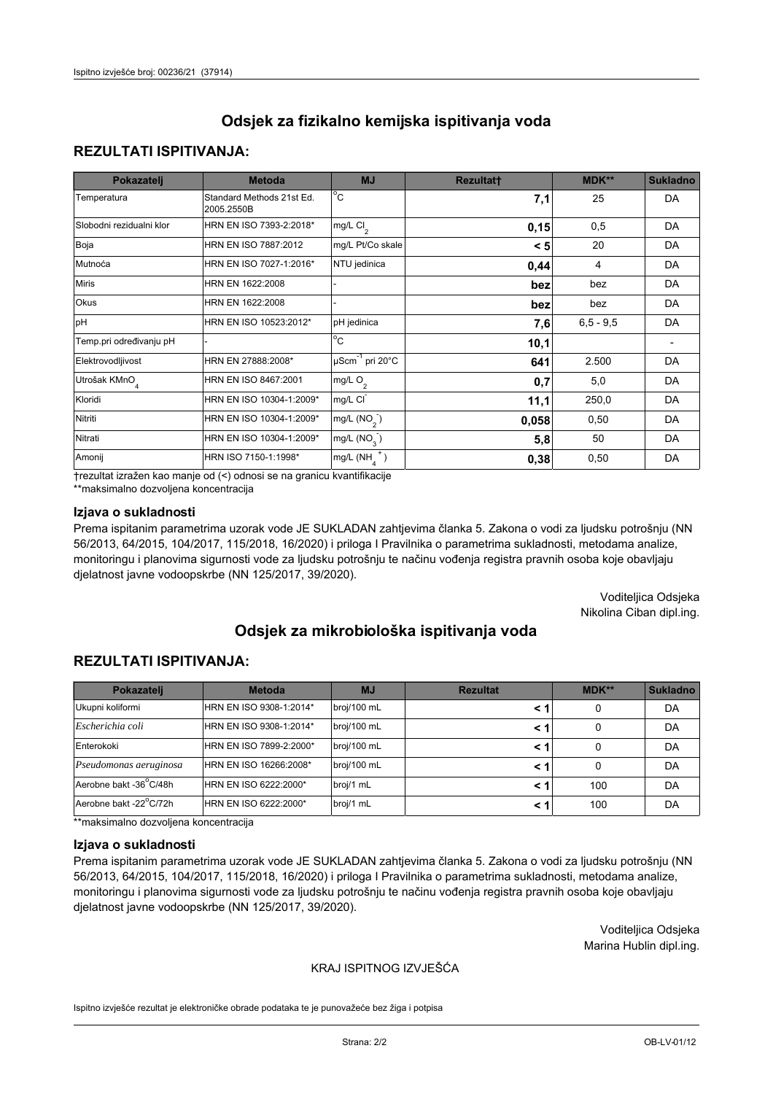## **REZULTATI ISPITIVANJA:**

| Pokazatelj                | <b>Metoda</b>                           | <b>MJ</b>                   | <b>Rezultatt</b> | <b>MDK**</b> | <b>Sukladno</b> |
|---------------------------|-----------------------------------------|-----------------------------|------------------|--------------|-----------------|
| Temperatura               | Standard Methods 21st Ed.<br>2005.2550B | $^{\circ}$ C                | 7,1              | 25           | <b>DA</b>       |
| Slobodni rezidualni klor  | HRN EN ISO 7393-2:2018*                 | mg/L $Cl_2$                 | 0,15             | 0,5          | DA              |
| Boja                      | HRN EN ISO 7887:2012                    | mg/L Pt/Co skale            | < 5              | 20           | <b>DA</b>       |
| Mutnoća                   | HRN EN ISO 7027-1:2016*                 | NTU jedinica                | 0,44             | 4            | DA              |
| <b>Miris</b>              | HRN EN 1622:2008                        |                             | bez              | bez          | DA              |
| Okus                      | HRN EN 1622:2008                        |                             | bez              | bez          | DA              |
| pH                        | HRN EN ISO 10523:2012*                  | pH jedinica                 | 7,6              | $6.5 - 9.5$  | <b>DA</b>       |
| Temp.pri određivanju pH   |                                         | $\overline{c}$              | 10,1             |              |                 |
| Elektrovodljivost         | HRN EN 27888:2008*                      | µScm <sup>-1</sup> pri 20°C | 641              | 2.500        | DA              |
| Utrošak KMnO <sub>4</sub> | HRN EN ISO 8467:2001                    | mg/L O <sub>2</sub>         | 0,7              | 5,0          | DA              |
| Kloridi                   | HRN EN ISO 10304-1:2009*                | mg/L CI                     | 11,1             | 250,0        | DA              |
| Nitriti                   | HRN EN ISO 10304-1:2009*                | mg/L $(NO2)$                | 0,058            | 0,50         | DA              |
| Nitrati                   | HRN EN ISO 10304-1:2009*                | mg/L $(NO3)$                | 5,8              | 50           | DA              |
| Amonij                    | HRN ISO 7150-1:1998*                    | mg/L $(NH_A^+)$             | 0,38             | 0,50         | DA              |

trezultat izražen kao manje od (<) odnosi se na granicu kvantifikacije

\*\*maksimalno dozvoljena koncentracija

### Izjava o sukladnosti

Prema ispitanim parametrima uzorak vode JE SUKLADAN zahtjevima članka 5. Zakona o vodi za ljudsku potrošnju (NN 56/2013, 64/2015, 104/2017, 115/2018, 16/2020) i priloga I Pravilnika o parametrima sukladnosti, metodama analize, monitoringu i planovima sigurnosti vode za ljudsku potrošnju te načinu vođenja registra pravnih osoba koje obavljaju djelatnost javne vodoopskrbe (NN 125/2017, 39/2020).

> Voditeljica Odsjeka Nikolina Ciban dipl.ing.

# Odsiek za mikrobiološka ispitivanja voda

## **REZULTATI ISPITIVANJA:**

| Pokazatelj             | <b>Metoda</b>           | <b>MJ</b>   | <b>Rezultat</b> | MDK** | Sukladno |
|------------------------|-------------------------|-------------|-----------------|-------|----------|
| Ukupni koliformi       | HRN EN ISO 9308-1:2014* | broj/100 mL |                 | 0     | DA       |
| Escherichia coli       | HRN EN ISO 9308-1:2014* | broj/100 mL | < 1             | 0     | DA       |
| Enterokoki             | HRN EN ISO 7899-2:2000* | broj/100 mL | < 1             | 0     | DA       |
| Pseudomonas aeruginosa | HRN EN ISO 16266:2008*  | broj/100 mL | < 1             | 0     | DA       |
| Aerobne bakt -36°C/48h | HRN EN ISO 6222:2000*   | broj/1 mL   | < 1             | 100   | DA       |
| Aerobne bakt -22°C/72h | HRN EN ISO 6222:2000*   | broj/1 mL   | < 1             | 100   | DA       |

\*\*maksimalno dozvoljena koncentracija

#### Izjava o sukladnosti

Prema ispitanim parametrima uzorak vode JE SUKLADAN zahtjevima članka 5. Zakona o vodi za ljudsku potrošnju (NN 56/2013, 64/2015, 104/2017, 115/2018, 16/2020) i priloga I Pravilnika o parametrima sukladnosti, metodama analize, monitoringu i planovima sigurnosti vode za ljudsku potrošnju te načinu vođenja registra pravnih osoba koje obavljaju djelatnost javne vodoopskrbe (NN 125/2017, 39/2020).

> Voditeljica Odsjeka Marina Hublin dipl.ing.

### KRAJ ISPITNOG IZVJEŠĆA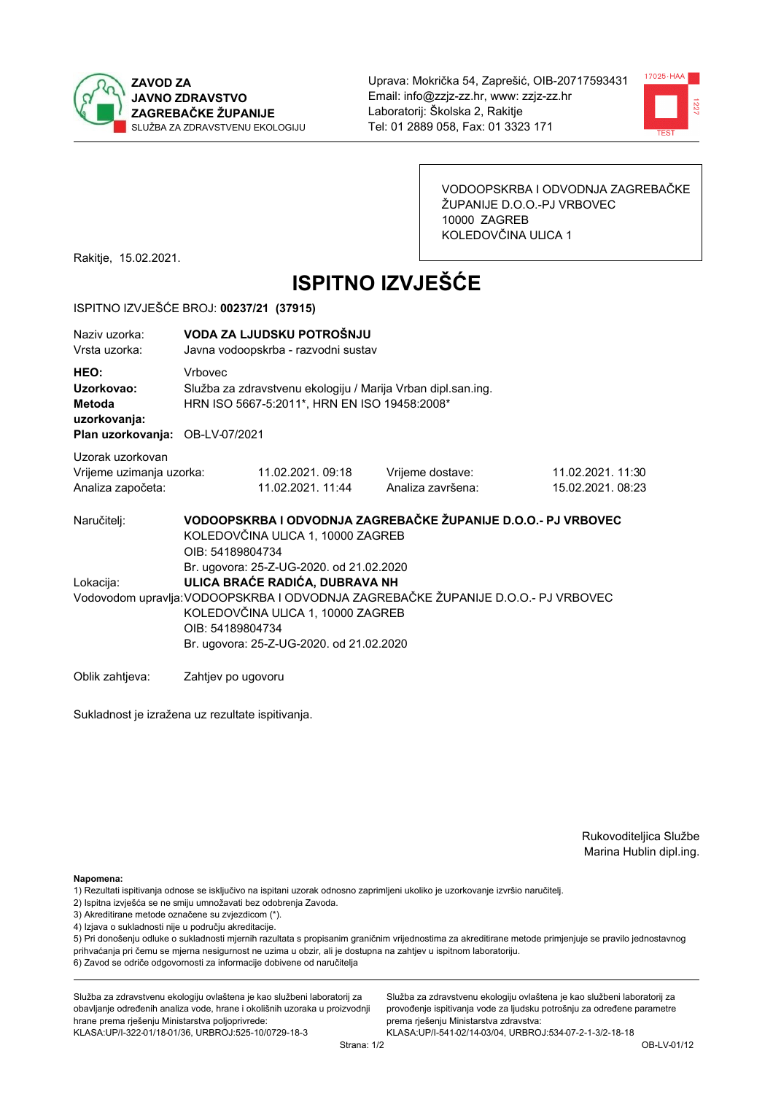



VODOOPSKRBA I ODVODNJA ZAGREBAČKE ŽUPANIJE D.O.O.-PJ VRBOVEC 10000 ZAGREB KOLEDOVČINA ULICA 1

Rakitje, 15.02.2021.

# **ISPITNO IZVJEŠĆE**

### ISPITNO IZVJEŠĆE BROJ: 00237/21 (37915)

| Naziv uzorka:<br>Vrsta uzorka:                                                  |                    | VODA ZA LJUDSKU POTROŠNJU<br>Javna vodoopskrba - razvodni sustav                                                                                                                                                                                                     |                                                               |                                       |  |  |
|---------------------------------------------------------------------------------|--------------------|----------------------------------------------------------------------------------------------------------------------------------------------------------------------------------------------------------------------------------------------------------------------|---------------------------------------------------------------|---------------------------------------|--|--|
| HEO:<br>Uzorkovao:<br>Metoda<br>uzorkovanja:<br>Plan uzorkovanja: OB-LV-07/2021 | Vrbovec            | Služba za zdravstvenu ekologiju / Marija Vrban dipl.san.ing.<br>HRN ISO 5667-5:2011*, HRN EN ISO 19458:2008*                                                                                                                                                         |                                                               |                                       |  |  |
| Uzorak uzorkovan                                                                |                    |                                                                                                                                                                                                                                                                      |                                                               |                                       |  |  |
| Vrijeme uzimanja uzorka:<br>Analiza započeta:                                   |                    | 11.02.2021.09:18<br>11.02.2021. 11:44                                                                                                                                                                                                                                | Vrijeme dostave:<br>Analiza završena:                         | 11.02.2021. 11:30<br>15.02.2021.08:23 |  |  |
| Naručitelj:                                                                     | OIB: 54189804734   | KOLEDOVČINA ULICA 1, 10000 ZAGREB                                                                                                                                                                                                                                    | VODOOPSKRBA I ODVODNJA ZAGREBAČKE ŽUPANIJE D.O.O.- PJ VRBOVEC |                                       |  |  |
| Lokacija:                                                                       |                    | Br. ugovora: 25-Z-UG-2020. od 21.02.2020<br>ULICA BRAĆE RADIĆA, DUBRAVA NH<br>Vodovodom upravlja: VODOOPSKRBA I ODVODNJA ZAGREBAČKE ŽUPANIJE D.O.O.- PJ VRBOVEC<br>KOLEDOVČINA ULICA 1, 10000 ZAGREB<br>OIB: 54189804734<br>Br. ugovora: 25-Z-UG-2020. od 21.02.2020 |                                                               |                                       |  |  |
| Oblik zahtieva:                                                                 | Zahtjev po ugovoru |                                                                                                                                                                                                                                                                      |                                                               |                                       |  |  |

Sukladnost je izražena uz rezultate ispitivanja.

Rukovoditeljica Službe Marina Hublin dipl.ing.

Napomena:

- 1) Rezultati ispitivanja odnose se isključivo na ispitani uzorak odnosno zaprimljeni ukoliko je uzorkovanje izvršio naručiteli.
- 2) Ispitna izvješća se ne smiju umnožavati bez odobrenja Zavoda.
- 3) Akreditirane metode označene su zvjezdicom (\*).
- 4) Izjava o sukladnosti nije u području akreditacije.

5) Pri donošenju odluke o sukladnosti mjernih razultata s propisanim graničnim vrijednostima za akreditirane metode primjenjuje se pravilo jednostavnog prihvaćanja pri čemu se mjerna nesigurnost ne uzima u obzir, ali je dostupna na zahtjev u ispitnom laboratoriju.

6) Zavod se odriče odgovornosti za informacije dobivene od naručitelja

Služba za zdravstvenu ekologiju ovlaštena je kao službeni laboratorij za obavljanje određenih analiza vode, hrane i okolišnih uzoraka u proizvodnji hrane prema rješenju Ministarstva poljoprivrede: KLASA: UP/I-322-01/18-01/36, URBROJ: 525-10/0729-18-3

Služba za zdravstvenu ekologiju ovlaštena je kao službeni laboratorij za provođenje ispitivanja vode za ljudsku potrošnju za određene parametre prema riešenju Ministarstva zdravstva: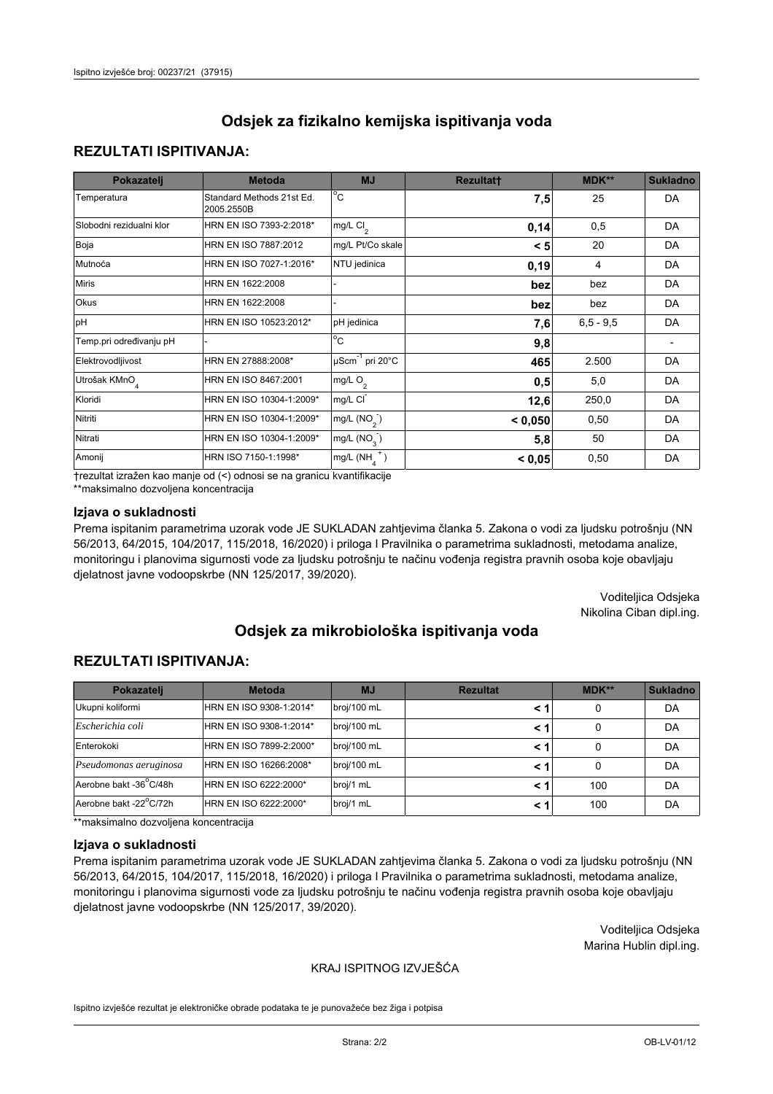### **REZULTATI ISPITIVANJA:**

| Pokazatelj                | <b>Metoda</b>                           | <b>MJ</b>                                | <b>Rezultatt</b> | <b>MDK**</b> | <b>Sukladno</b> |
|---------------------------|-----------------------------------------|------------------------------------------|------------------|--------------|-----------------|
| Temperatura               | Standard Methods 21st Ed.<br>2005.2550B | $^{\circ}$ C                             | 7,5              | 25           | DA              |
| Slobodni rezidualni klor  | HRN EN ISO 7393-2:2018*                 | $\overline{\text{mg/L}}$ Cl <sub>2</sub> | 0,14             | 0,5          | DA              |
| Boja                      | HRN EN ISO 7887:2012                    | mg/L Pt/Co skale                         | < 5              | 20           | DA              |
| Mutnoća                   | HRN EN ISO 7027-1:2016*                 | NTU jedinica                             | 0, 19            | 4            | DA              |
| <b>Miris</b>              | HRN EN 1622:2008                        |                                          | bez              | bez          | DA              |
| Okus                      | HRN EN 1622:2008                        |                                          | bez              | bez          | DA              |
| pH                        | HRN EN ISO 10523:2012*                  | pH jedinica                              | 7,6              | $6.5 - 9.5$  | DA              |
| Temp.pri određivanju pH   |                                         | $\overline{c}$                           | 9,8              |              |                 |
| Elektrovodljivost         | HRN EN 27888:2008*                      | $\mu$ Scm <sup>-1</sup> pri 20°C         | 465              | 2.500        | DA              |
| Utrošak KMnO <sub>4</sub> | HRN EN ISO 8467:2001                    | mg/L $O_2$                               | 0,5              | 5,0          | DA              |
| Kloridi                   | HRN EN ISO 10304-1:2009*                | mg/L CI                                  | 12,6             | 250,0        | DA              |
| Nitriti                   | HRN EN ISO 10304-1:2009*                | mg/L $(NO2)$                             | < 0,050          | 0,50         | DA              |
| Nitrati                   | HRN EN ISO 10304-1:2009*                | mg/L $(NO3)$                             | 5,8              | 50           | DA              |
| Amonij                    | HRN ISO 7150-1:1998*                    | mg/L $(NH_{\lambda}^{\dagger})$          | < 0,05           | 0,50         | DA              |

trezultat izražen kao manje od (<) odnosi se na granicu kvantifikacije

\*\*maksimalno dozvoljena koncentracija

### Izjava o sukladnosti

Prema ispitanim parametrima uzorak vode JE SUKLADAN zahtjevima članka 5. Zakona o vodi za ljudsku potrošnju (NN 56/2013, 64/2015, 104/2017, 115/2018, 16/2020) i priloga I Pravilnika o parametrima sukladnosti, metodama analize, monitoringu i planovima sigurnosti vode za ljudsku potrošnju te načinu vođenja registra pravnih osoba koje obavljaju djelatnost javne vodoopskrbe (NN 125/2017, 39/2020).

> Voditeljica Odsjeka Nikolina Ciban dipl.ing.

# Odsiek za mikrobiološka ispitivanja voda

### **REZULTATI ISPITIVANJA:**

| Pokazatelj             | <b>Metoda</b>           | <b>MJ</b>   | <b>Rezultat</b> | $MDK**$ | <b>Sukladno</b> |
|------------------------|-------------------------|-------------|-----------------|---------|-----------------|
| Ukupni koliformi       | HRN EN ISO 9308-1:2014* | broj/100 mL | < 1             | 0       | DA              |
| Escherichia coli       | HRN EN ISO 9308-1:2014* | broj/100 mL | < 1             | 0       | DA              |
| Enterokoki             | HRN EN ISO 7899-2:2000* | broj/100 mL | < 1             |         | DA              |
| Pseudomonas aeruginosa | HRN EN ISO 16266:2008*  | broj/100 mL | < 1             | 0       | DA              |
| Aerobne bakt -36°C/48h | HRN EN ISO 6222:2000*   | broj/1 mL   | < 1             | 100     | DA              |
| Aerobne bakt -22°C/72h | HRN EN ISO 6222:2000*   | broj/1 mL   | < 1             | 100     | DA              |

\*\*maksimalno dozvoljena koncentracija

#### Izjava o sukladnosti

Prema ispitanim parametrima uzorak vode JE SUKLADAN zahtjevima članka 5. Zakona o vodi za ljudsku potrošnju (NN 56/2013, 64/2015, 104/2017, 115/2018, 16/2020) i priloga I Pravilnika o parametrima sukladnosti, metodama analize, monitoringu i planovima sigurnosti vode za ljudsku potrošnju te načinu vođenja registra pravnih osoba koje obavljaju djelatnost javne vodoopskrbe (NN 125/2017, 39/2020).

> Voditeljica Odsjeka Marina Hublin dipl.ing.

### KRAJ ISPITNOG IZVJEŠĆA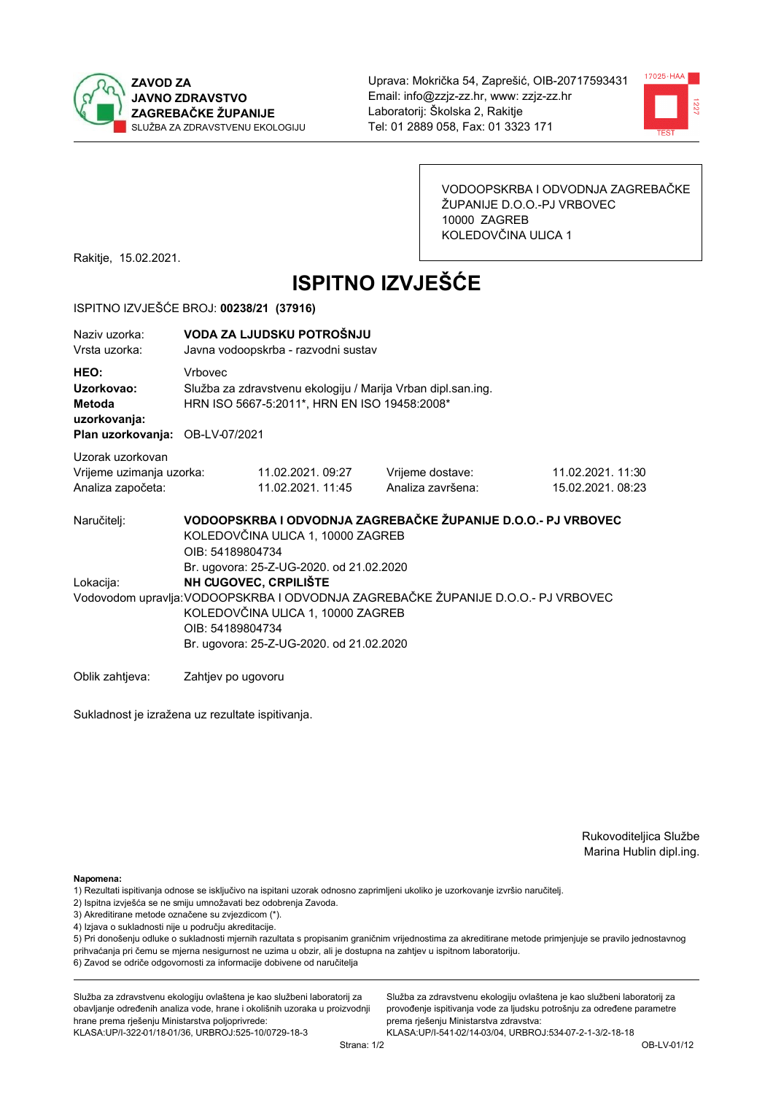



VODOOPSKRBA I ODVODNJA ZAGREBAČKE ŽUPANIJE D.O.O.-PJ VRBOVEC 10000 ZAGREB KOLEDOVČINA ULICA 1

Rakitje, 15.02.2021.

# **ISPITNO IZVJEŠĆE**

### ISPITNO IZVJEŠĆE BROJ: 00238/21 (37916)

| Naziy uzorka:<br>Vrsta uzorka:                                                  | VODA ZA LJUDSKU POTROŠNJU<br>Javna vodoopskrba - razvodni sustav |                                                                                                                                                                                                                                                             |                                                               |                                       |  |  |  |
|---------------------------------------------------------------------------------|------------------------------------------------------------------|-------------------------------------------------------------------------------------------------------------------------------------------------------------------------------------------------------------------------------------------------------------|---------------------------------------------------------------|---------------------------------------|--|--|--|
| HEO:<br>Uzorkovao:<br>Metoda<br>uzorkovanja:<br>Plan uzorkovanja: OB-LV-07/2021 | <b>Vrhovec</b>                                                   | Služba za zdravstvenu ekologiju / Marija Vrban dipl.san.ing.<br>HRN ISO 5667-5:2011*, HRN EN ISO 19458:2008*                                                                                                                                                |                                                               |                                       |  |  |  |
|                                                                                 |                                                                  |                                                                                                                                                                                                                                                             |                                                               |                                       |  |  |  |
| Uzorak uzorkovan<br>Vrijeme uzimanja uzorka:<br>Analiza započeta:               |                                                                  | 11.02.2021.09:27<br>11.02.2021. 11:45                                                                                                                                                                                                                       | Vrijeme dostave:<br>Analiza završena:                         | 11.02.2021. 11:30<br>15.02.2021.08:23 |  |  |  |
| Naručitelj:                                                                     | OIB: 54189804734                                                 | KOLEDOVČINA ULICA 1, 10000 ZAGREB                                                                                                                                                                                                                           | VODOOPSKRBA I ODVODNJA ZAGREBAČKE ŽUPANIJE D.O.O.- PJ VRBOVEC |                                       |  |  |  |
| Lokacija:                                                                       |                                                                  | Br. ugovora: 25-Z-UG-2020. od 21.02.2020<br>NH CUGOVEC, CRPILIŠTE<br>Vodovodom upravlja: VODOOPSKRBA I ODVODNJA ZAGREBAČKE ŽUPANIJE D.O.O.- PJ VRBOVEC<br>KOLEDOVČINA ULICA 1, 10000 ZAGREB<br>OIB: 54189804734<br>Br. ugovora: 25-Z-UG-2020. od 21.02.2020 |                                                               |                                       |  |  |  |
| Oblik zahtieva:                                                                 | Zahtjev po ugovoru                                               |                                                                                                                                                                                                                                                             |                                                               |                                       |  |  |  |

Sukladnost je izražena uz rezultate ispitivanja.

Rukovoditeljica Službe Marina Hublin dipl.ing.

Napomena:

- 1) Rezultati ispitivanja odnose se isključivo na ispitani uzorak odnosno zaprimljeni ukoliko je uzorkovanje izvršio naručiteli.
- 2) Ispitna izvješća se ne smiju umnožavati bez odobrenja Zavoda.
- 3) Akreditirane metode označene su zvjezdicom (\*).
- 4) Izjava o sukladnosti nije u području akreditacije.

5) Pri donošenju odluke o sukladnosti mjernih razultata s propisanim graničnim vrijednostima za akreditirane metode primjenjuje se pravilo jednostavnog prihvaćanja pri čemu se mjerna nesigurnost ne uzima u obzir, ali je dostupna na zahtjev u ispitnom laboratoriju.

6) Zavod se odriče odgovornosti za informacije dobivene od naručitelja

Služba za zdravstvenu ekologiju ovlaštena je kao službeni laboratorij za obavljanje određenih analiza vode, hrane i okolišnih uzoraka u proizvodnji hrane prema rješenju Ministarstva poljoprivrede: KLASA: UP/I-322-01/18-01/36, URBROJ: 525-10/0729-18-3

Služba za zdravstvenu ekologiju ovlaštena je kao službeni laboratorij za provođenje ispitivanja vode za ljudsku potrošnju za određene parametre prema riešenju Ministarstva zdravstva: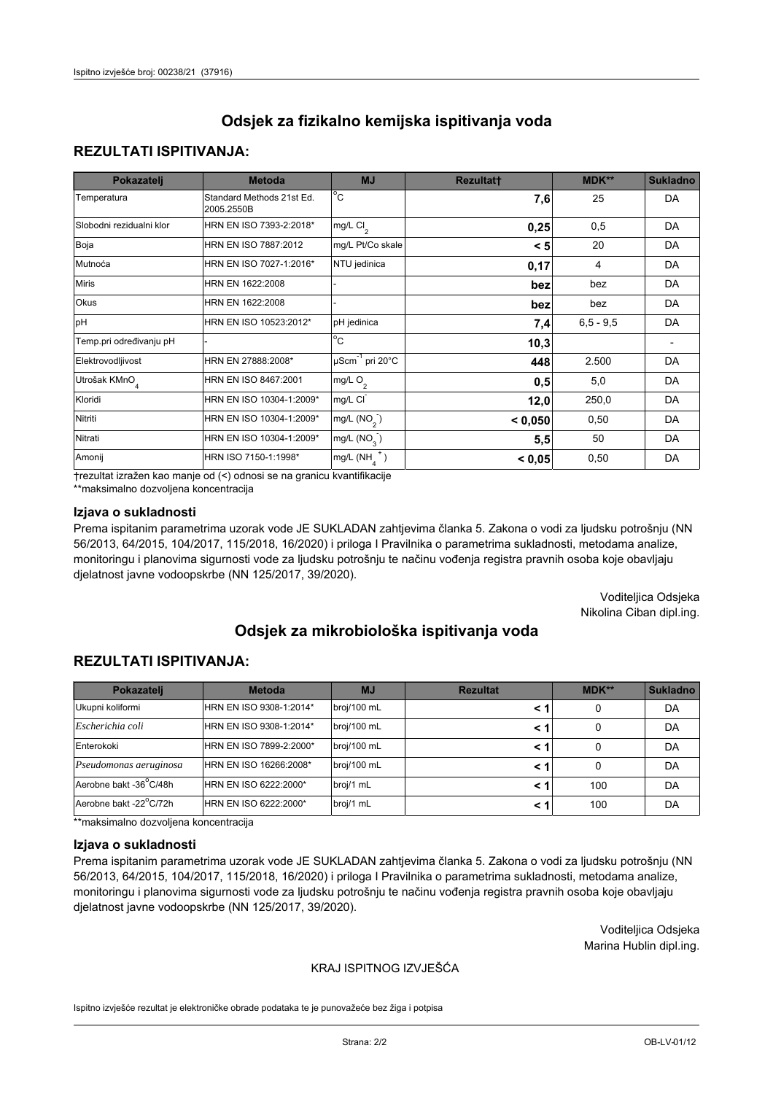## **REZULTATI ISPITIVANJA:**

| Pokazatelj                | <b>Metoda</b>                           | <b>MJ</b>                   | <b>Rezultatt</b> | <b>MDK**</b> | <b>Sukladno</b> |
|---------------------------|-----------------------------------------|-----------------------------|------------------|--------------|-----------------|
| Temperatura               | Standard Methods 21st Ed.<br>2005.2550B | $^{\circ}$ C                | 7,6              | 25           | <b>DA</b>       |
| Slobodni rezidualni klor  | HRN EN ISO 7393-2:2018*                 | mg/L $Cl_2$                 | 0,25             | 0,5          | DA              |
| Boja                      | HRN EN ISO 7887:2012                    | mg/L Pt/Co skale            | < 5              | 20           | <b>DA</b>       |
| Mutnoća                   | HRN EN ISO 7027-1:2016*                 | NTU jedinica                | 0,17             | 4            | DA              |
| <b>Miris</b>              | HRN EN 1622:2008                        |                             | bez              | bez          | DA              |
| Okus                      | HRN EN 1622:2008                        |                             | bez              | bez          | DA              |
| pH                        | HRN EN ISO 10523:2012*                  | pH jedinica                 | 7,4              | $6.5 - 9.5$  | <b>DA</b>       |
| Temp.pri određivanju pH   |                                         | $\overline{c}$              | 10,3             |              |                 |
| Elektrovodljivost         | HRN EN 27888:2008*                      | µScm <sup>-1</sup> pri 20°C | 448              | 2.500        | DA              |
| Utrošak KMnO <sub>4</sub> | HRN EN ISO 8467:2001                    | mg/L O <sub>2</sub>         | 0,5              | 5,0          | DA              |
| Kloridi                   | HRN EN ISO 10304-1:2009*                | mg/L CI                     | 12,0             | 250,0        | DA              |
| Nitriti                   | HRN EN ISO 10304-1:2009*                | mg/L $(NO2)$                | < 0,050          | 0,50         | DA              |
| Nitrati                   | HRN EN ISO 10304-1:2009*                | mg/L $(NO_3^-)$             | 5,5              | 50           | DA              |
| Amonij                    | HRN ISO 7150-1:1998*                    | mg/L $(NH_A^+)$             | < 0,05           | 0,50         | DA              |

trezultat izražen kao manje od (<) odnosi se na granicu kvantifikacije

\*\*maksimalno dozvoljena koncentracija

### Izjava o sukladnosti

Prema ispitanim parametrima uzorak vode JE SUKLADAN zahtjevima članka 5. Zakona o vodi za ljudsku potrošnju (NN 56/2013, 64/2015, 104/2017, 115/2018, 16/2020) i priloga I Pravilnika o parametrima sukladnosti, metodama analize, monitoringu i planovima sigurnosti vode za ljudsku potrošnju te načinu vođenja registra pravnih osoba koje obavljaju djelatnost javne vodoopskrbe (NN 125/2017, 39/2020).

> Voditeljica Odsjeka Nikolina Ciban dipl.ing.

# Odsiek za mikrobiološka ispitivanja voda

## **REZULTATI ISPITIVANJA:**

| Pokazatelj             | <b>Metoda</b>           | <b>MJ</b>   | <b>Rezultat</b> | $MDK**$ | <b>Sukladno</b> |
|------------------------|-------------------------|-------------|-----------------|---------|-----------------|
| Ukupni koliformi       | HRN EN ISO 9308-1:2014* | broj/100 mL | < 1             | 0       | DA              |
| Escherichia coli       | HRN EN ISO 9308-1:2014* | broj/100 mL | < 1             | 0       | DA              |
| Enterokoki             | HRN EN ISO 7899-2:2000* | broj/100 mL | < 1             |         | DA              |
| Pseudomonas aeruginosa | HRN EN ISO 16266:2008*  | broj/100 mL | < 1             | 0       | DA              |
| Aerobne bakt -36°C/48h | HRN EN ISO 6222:2000*   | broj/1 mL   | < 1             | 100     | DA              |
| Aerobne bakt -22°C/72h | HRN EN ISO 6222:2000*   | broj/1 mL   | < 1             | 100     | DA              |

\*\*maksimalno dozvoljena koncentracija

#### Izjava o sukladnosti

Prema ispitanim parametrima uzorak vode JE SUKLADAN zahtjevima članka 5. Zakona o vodi za ljudsku potrošnju (NN 56/2013, 64/2015, 104/2017, 115/2018, 16/2020) i priloga I Pravilnika o parametrima sukladnosti, metodama analize, monitoringu i planovima sigurnosti vode za ljudsku potrošnju te načinu vođenja registra pravnih osoba koje obavljaju djelatnost javne vodoopskrbe (NN 125/2017, 39/2020).

> Voditeljica Odsjeka Marina Hublin dipl.ing.

### KRAJ ISPITNOG IZVJEŠĆA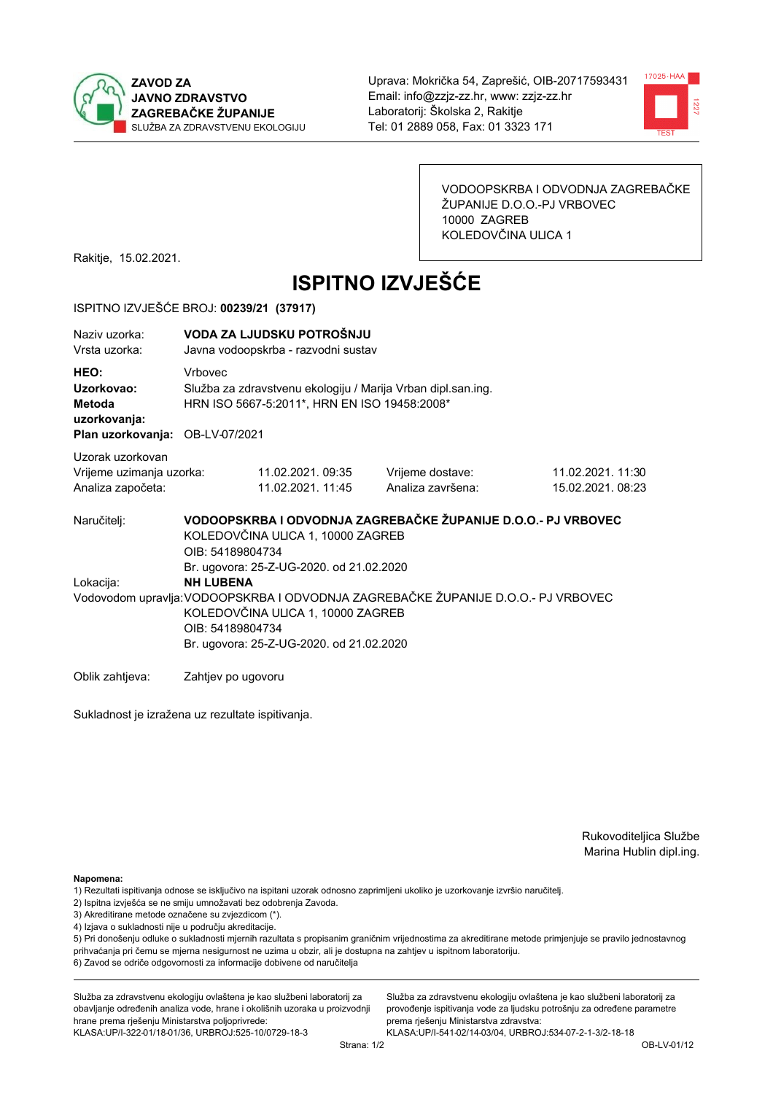



VODOOPSKRBA I ODVODNJA ZAGREBAČKE ŽUPANIJE D.O.O.-PJ VRBOVEC 10000 ZAGREB KOLEDOVČINA ULICA 1

Rakitje, 15.02.2021.

# **ISPITNO IZVJEŠĆE**

### ISPITNO IZVJEŠĆE BROJ: 00239/21 (37917)

| Naziv uzorka:<br>Vrsta uzorka:                                                  | VODA ZA LJUDSKU POTROŠNJU<br>Javna vodoopskrba - razvodni sustav |                                                                                                                                                                                                                                    |                                                               |                                      |  |  |
|---------------------------------------------------------------------------------|------------------------------------------------------------------|------------------------------------------------------------------------------------------------------------------------------------------------------------------------------------------------------------------------------------|---------------------------------------------------------------|--------------------------------------|--|--|
| HEO:<br>Uzorkovao:<br>Metoda<br>uzorkovanja:<br>Plan uzorkovanja: OB-LV-07/2021 | <b>Vrhovec</b>                                                   | Služba za zdravstvenu ekologiju / Marija Vrban dipl.san.ing.<br>HRN ISO 5667-5:2011*, HRN EN ISO 19458:2008*                                                                                                                       |                                                               |                                      |  |  |
| Uzorak uzorkovan<br>Vrijeme uzimanja uzorka:<br>Analiza započeta:               |                                                                  | 11.02.2021.09:35<br>11.02.2021. 11:45                                                                                                                                                                                              | Vrijeme dostave:<br>Analiza završena:                         | 11.02.2021.11:30<br>15.02.2021.08:23 |  |  |
| Naručitelj:                                                                     | OIB: 54189804734                                                 | KOLEDOVČINA ULICA 1, 10000 ZAGREB                                                                                                                                                                                                  | VODOOPSKRBA I ODVODNJA ZAGREBAČKE ŽUPANIJE D.O.O.- PJ VRBOVEC |                                      |  |  |
| Lokacija:                                                                       | <b>NH LUBENA</b>                                                 | Br. ugovora: 25-Z-UG-2020. od 21.02.2020<br>Vodovodom upravlja: VODOOPSKRBA I ODVODNJA ZAGREBAČKE ŽUPANIJE D.O.O.- PJ VRBOVEC<br>KOLEDOVČINA ULICA 1, 10000 ZAGREB<br>OIB: 54189804734<br>Br. ugovora: 25-Z-UG-2020. od 21.02.2020 |                                                               |                                      |  |  |
| Oblik zahtjeva:                                                                 | Zahtjev po ugovoru                                               |                                                                                                                                                                                                                                    |                                                               |                                      |  |  |

Sukladnost je izražena uz rezultate ispitivanja.

Rukovoditeljica Službe Marina Hublin dipl.ing.

Napomena:

- 1) Rezultati ispitivanja odnose se isključivo na ispitani uzorak odnosno zaprimljeni ukoliko je uzorkovanje izvršio naručiteli.
- 2) Ispitna izvješća se ne smiju umnožavati bez odobrenja Zavoda.
- 3) Akreditirane metode označene su zvjezdicom (\*).
- 4) Izjava o sukladnosti nije u području akreditacije.

5) Pri donošenju odluke o sukladnosti mjernih razultata s propisanim graničnim vrijednostima za akreditirane metode primjenjuje se pravilo jednostavnog prihvaćanja pri čemu se mjerna nesigurnost ne uzima u obzir, ali je dostupna na zahtjev u ispitnom laboratoriju.

6) Zavod se odriče odgovornosti za informacije dobivene od naručitelja

Služba za zdravstvenu ekologiju ovlaštena je kao službeni laboratorij za obavljanje određenih analiza vode, hrane i okolišnih uzoraka u proizvodnji hrane prema rješenju Ministarstva poljoprivrede: KLASA: UP/I-322-01/18-01/36, URBROJ: 525-10/0729-18-3

Služba za zdravstvenu ekologiju ovlaštena je kao službeni laboratorij za provođenje ispitivanja vode za ljudsku potrošnju za određene parametre prema riešenju Ministarstva zdravstva: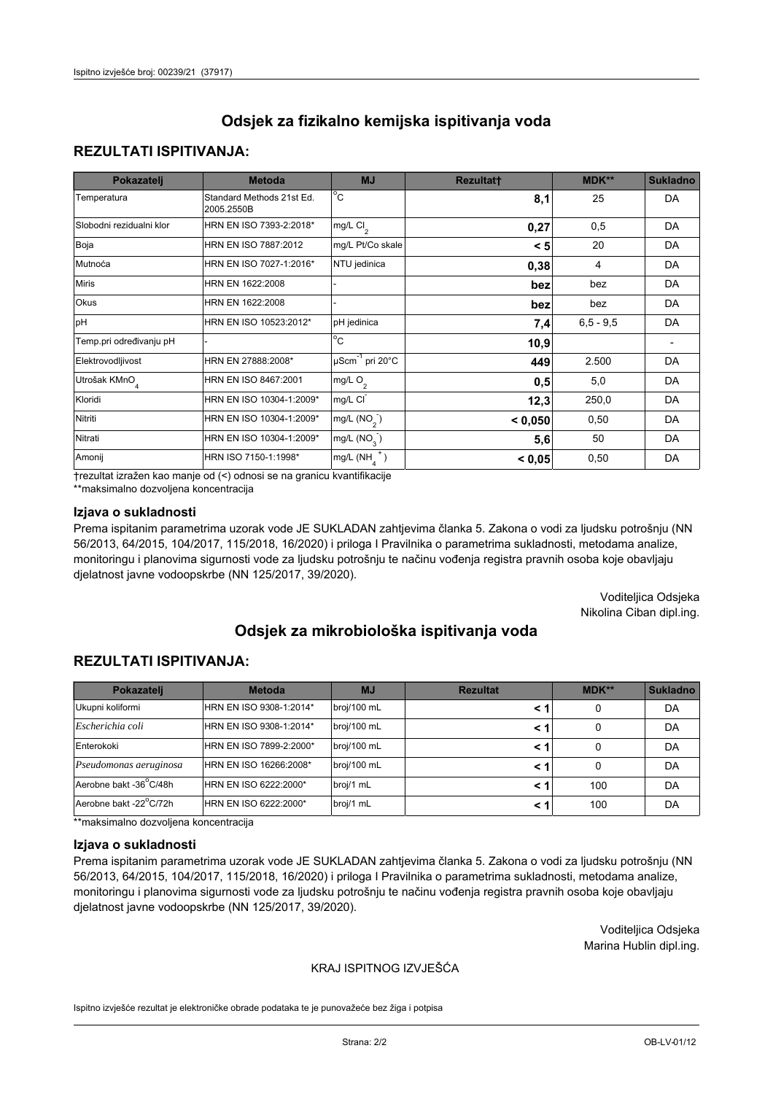## **REZULTATI ISPITIVANJA:**

| Pokazatelj                | <b>Metoda</b>                           | <b>MJ</b>                   | <b>Rezultatt</b> | <b>MDK**</b> | <b>Sukladno</b> |
|---------------------------|-----------------------------------------|-----------------------------|------------------|--------------|-----------------|
| Temperatura               | Standard Methods 21st Ed.<br>2005.2550B | $^{\circ}$ C                | 8,1              | 25           | <b>DA</b>       |
| Slobodni rezidualni klor  | HRN EN ISO 7393-2:2018*                 | mg/L $Cl_2$                 | 0,27             | 0,5          | DA              |
| Boja                      | HRN EN ISO 7887:2012                    | mg/L Pt/Co skale            | < 5              | 20           | <b>DA</b>       |
| Mutnoća                   | HRN EN ISO 7027-1:2016*                 | NTU jedinica                | 0,38             | 4            | DA              |
| <b>Miris</b>              | HRN EN 1622:2008                        |                             | bez              | bez          | DA              |
| Okus                      | HRN EN 1622:2008                        |                             | bez              | bez          | DA              |
| pH                        | HRN EN ISO 10523:2012*                  | pH jedinica                 | 7,4              | $6.5 - 9.5$  | <b>DA</b>       |
| Temp.pri određivanju pH   |                                         | $\overline{c}$              | 10,9             |              |                 |
| Elektrovodljivost         | HRN EN 27888:2008*                      | µScm <sup>-1</sup> pri 20°C | 449              | 2.500        | DA              |
| Utrošak KMnO <sub>4</sub> | HRN EN ISO 8467:2001                    | mg/L O <sub>2</sub>         | 0,5              | 5,0          | DA              |
| Kloridi                   | HRN EN ISO 10304-1:2009*                | mg/L CI                     | 12,3             | 250,0        | DA              |
| Nitriti                   | HRN EN ISO 10304-1:2009*                | mg/L $(NO2)$                | < 0,050          | 0,50         | DA              |
| Nitrati                   | HRN EN ISO 10304-1:2009*                | mg/L $(NO_3^-)$             | 5,6              | 50           | DA              |
| Amonij                    | HRN ISO 7150-1:1998*                    | mg/L $(NH_A^+)$             | < 0,05           | 0,50         | DA              |

trezultat izražen kao manje od (<) odnosi se na granicu kvantifikacije

\*\*maksimalno dozvoljena koncentracija

### Izjava o sukladnosti

Prema ispitanim parametrima uzorak vode JE SUKLADAN zahtjevima članka 5. Zakona o vodi za ljudsku potrošnju (NN 56/2013, 64/2015, 104/2017, 115/2018, 16/2020) i priloga I Pravilnika o parametrima sukladnosti, metodama analize, monitoringu i planovima sigurnosti vode za ljudsku potrošnju te načinu vođenja registra pravnih osoba koje obavljaju djelatnost javne vodoopskrbe (NN 125/2017, 39/2020).

> Voditeljica Odsjeka Nikolina Ciban dipl.ing.

# Odsiek za mikrobiološka ispitivanja voda

## **REZULTATI ISPITIVANJA:**

| Pokazatelj             | <b>Metoda</b>           | <b>MJ</b>   | <b>Rezultat</b> | MDK** | Sukladno |
|------------------------|-------------------------|-------------|-----------------|-------|----------|
| Ukupni koliformi       | HRN EN ISO 9308-1:2014* | broj/100 mL |                 | 0     | DA       |
| Escherichia coli       | HRN EN ISO 9308-1:2014* | broj/100 mL | < 1             | 0     | DA       |
| Enterokoki             | HRN EN ISO 7899-2:2000* | broj/100 mL | < 1             | 0     | DA       |
| Pseudomonas aeruginosa | HRN EN ISO 16266:2008*  | broj/100 mL | < 1             | 0     | DA       |
| Aerobne bakt -36°C/48h | HRN EN ISO 6222:2000*   | broj/1 mL   | < 1             | 100   | DA       |
| Aerobne bakt -22°C/72h | HRN EN ISO 6222:2000*   | broj/1 mL   | < 1             | 100   | DA       |

\*\*maksimalno dozvoljena koncentracija

#### Izjava o sukladnosti

Prema ispitanim parametrima uzorak vode JE SUKLADAN zahtjevima članka 5. Zakona o vodi za ljudsku potrošnju (NN 56/2013, 64/2015, 104/2017, 115/2018, 16/2020) i priloga I Pravilnika o parametrima sukladnosti, metodama analize, monitoringu i planovima sigurnosti vode za ljudsku potrošnju te načinu vođenja registra pravnih osoba koje obavljaju djelatnost javne vodoopskrbe (NN 125/2017, 39/2020).

> Voditeljica Odsjeka Marina Hublin dipl.ing.

### KRAJ ISPITNOG IZVJEŠĆA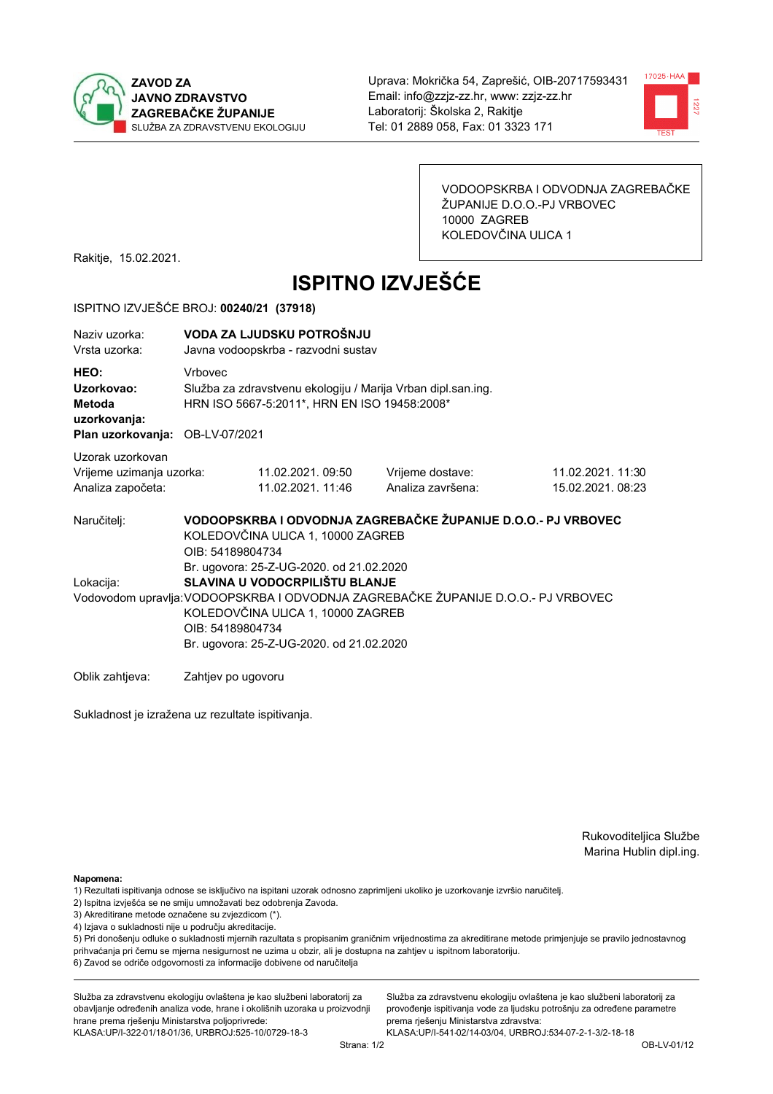



VODOOPSKRBA I ODVODNJA ZAGREBAČKE ŽUPANIJE D.O.O.-PJ VRBOVEC 10000 ZAGREB KOLEDOVČINA ULICA 1

Rakitje, 15.02.2021.

# **ISPITNO IZVJEŠĆE**

### ISPITNO IZVJEŠĆE BROJ: 00240/21 (37918)

| Naziy uzorka:<br>Vrsta uzorka:                                                  | VODA ZA LJUDSKU POTROŠNJU<br>Javna vodoopskrba - razvodni sustav |                                                                                                                                                                                                                                                                      |                                                               |                                       |  |  |  |
|---------------------------------------------------------------------------------|------------------------------------------------------------------|----------------------------------------------------------------------------------------------------------------------------------------------------------------------------------------------------------------------------------------------------------------------|---------------------------------------------------------------|---------------------------------------|--|--|--|
| HEO:<br>Uzorkovao:<br>Metoda<br>uzorkovanja:<br>Plan uzorkovanja: OB-LV-07/2021 | <b>Vrhovec</b>                                                   | Služba za zdravstvenu ekologiju / Marija Vrban dipl.san.ing.<br>HRN ISO 5667-5:2011*, HRN EN ISO 19458:2008*                                                                                                                                                         |                                                               |                                       |  |  |  |
| Uzorak uzorkovan<br>Vrijeme uzimanja uzorka:<br>Analiza započeta:               |                                                                  | 11.02.2021.09:50<br>11.02.2021. 11:46                                                                                                                                                                                                                                | Vrijeme dostave:<br>Analiza završena:                         | 11.02.2021. 11:30<br>15.02.2021.08:23 |  |  |  |
| Naručitelj:                                                                     | OIB: 54189804734                                                 | KOLEDOVČINA ULICA 1, 10000 ZAGREB                                                                                                                                                                                                                                    | VODOOPSKRBA I ODVODNJA ZAGREBAČKE ŽUPANIJE D.O.O.- PJ VRBOVEC |                                       |  |  |  |
| Lokacija:                                                                       |                                                                  | Br. ugovora: 25-Z-UG-2020. od 21.02.2020<br>SLAVINA U VODOCRPILIŠTU BLANJE<br>Vodovodom upravlja: VODOOPSKRBA I ODVODNJA ZAGREBAČKE ŽUPANIJE D.O.O.- PJ VRBOVEC<br>KOLEDOVČINA ULICA 1, 10000 ZAGREB<br>OIB: 54189804734<br>Br. ugovora: 25-Z-UG-2020. od 21.02.2020 |                                                               |                                       |  |  |  |
| Oblik zahtjeva:                                                                 | Zahtjev po ugovoru                                               |                                                                                                                                                                                                                                                                      |                                                               |                                       |  |  |  |

Sukladnost je izražena uz rezultate ispitivanja.

Rukovoditeljica Službe Marina Hublin dipl.ing.

Napomena:

- 2) Ispitna izvješća se ne smiju umnožavati bez odobrenja Zavoda.
- 3) Akreditirane metode označene su zvjezdicom (\*).
- 4) Izjava o sukladnosti nije u području akreditacije.

5) Pri donošenju odluke o sukladnosti mjernih razultata s propisanim graničnim vrijednostima za akreditirane metode primjenjuje se pravilo jednostavnog prihvaćanja pri čemu se mjerna nesigurnost ne uzima u obzir, ali je dostupna na zahtjev u ispitnom laboratoriju.

6) Zavod se odriče odgovornosti za informacije dobivene od naručitelja

Služba za zdravstvenu ekologiju ovlaštena je kao službeni laboratorij za obavljanje određenih analiza vode, hrane i okolišnih uzoraka u proizvodnji hrane prema rješenju Ministarstva poljoprivrede: KLASA: UP/I-322-01/18-01/36, URBROJ: 525-10/0729-18-3

Služba za zdravstvenu ekologiju ovlaštena je kao službeni laboratorij za provođenje ispitivanja vode za ljudsku potrošnju za određene parametre prema riešenju Ministarstva zdravstva:

<sup>1)</sup> Rezultati ispitivanja odnose se isključivo na ispitani uzorak odnosno zaprimljeni ukoliko je uzorkovanje izvršio naručiteli.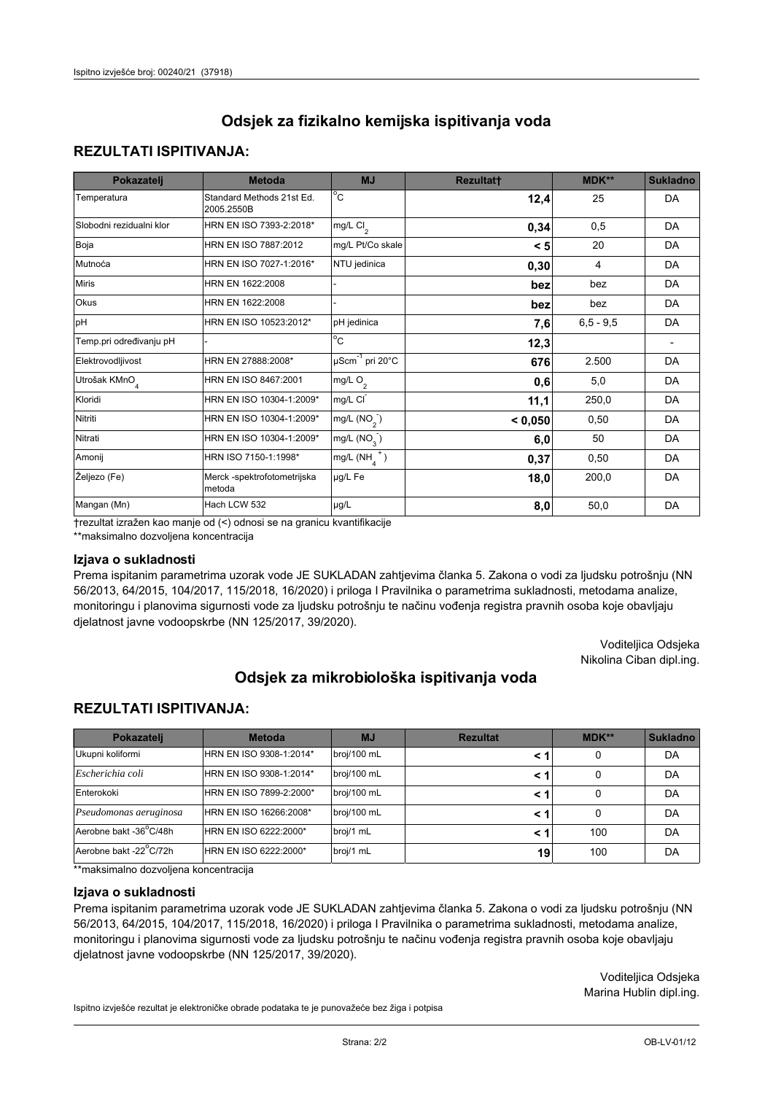## **REZULTATI ISPITIVANJA:**

| Pokazatelj                | <b>Metoda</b>                           | <b>MJ</b>                   | Rezultat† | MDK**         | <b>Sukladno</b> |
|---------------------------|-----------------------------------------|-----------------------------|-----------|---------------|-----------------|
| Temperatura               | Standard Methods 21st Ed.<br>2005.2550B | $^{\circ}$ C                | 12,4      | 25            | DA              |
| Slobodni rezidualni klor  | HRN EN ISO 7393-2:2018*                 | mg/L $Cl_{2}$               | 0,34      | 0,5           | DA              |
| Boja                      | HRN EN ISO 7887:2012                    | mg/L Pt/Co skale            | < 5       | 20            | DA              |
| Mutnoća                   | HRN EN ISO 7027-1:2016*                 | NTU jedinica                | 0,30      | 4             | DA              |
| <b>Miris</b>              | HRN EN 1622:2008                        |                             | bez       | bez           | DA              |
| Okus                      | HRN EN 1622:2008                        |                             | bez       | bez           | DA              |
| pH                        | HRN EN ISO 10523:2012*                  | pH jedinica                 | 7,6       | $6, 5 - 9, 5$ | DA              |
| Temp.pri određivanju pH   |                                         | $\rm ^{\circ}c$             | 12,3      |               |                 |
| Elektrovodljivost         | HRN EN 27888:2008*                      | µScm <sup>-1</sup> pri 20°C | 676       | 2.500         | DA              |
| Utrošak KMnO <sub>4</sub> | HRN EN ISO 8467:2001                    | mg/L O <sub>2</sub>         | 0,6       | 5,0           | DA              |
| Kloridi                   | HRN EN ISO 10304-1:2009*                | mg/L CI                     | 11,1      | 250,0         | DA              |
| Nitriti                   | HRN EN ISO 10304-1:2009*                | mg/L $(NO2)$                | < 0,050   | 0,50          | DA              |
| Nitrati                   | HRN EN ISO 10304-1:2009*                | mg/L $(NO_{3})$             | 6,0       | 50            | DA              |
| Amonij                    | HRN ISO 7150-1:1998*                    | $mg/L(NH4+)$                | 0,37      | 0,50          | DA              |
| Željezo (Fe)              | Merck -spektrofotometrijska<br>metoda   | µg/L Fe                     | 18,0      | 200,0         | DA              |
| Mangan (Mn)               | Hach LCW 532                            | $\mu$ g/L                   | 8,0       | 50,0          | DA              |

trezultat izražen kao manie od (<) odnosi se na granicu kvantifikacije

\*\*maksimalno dozvoljena koncentracija

### Izjava o sukladnosti

Prema ispitanim parametrima uzorak vode JE SUKLADAN zahtjevima članka 5. Zakona o vodi za ljudsku potrošnju (NN 56/2013, 64/2015, 104/2017, 115/2018, 16/2020) i priloga I Pravilnika o parametrima sukladnosti, metodama analize, monitoringu i planovima sigurnosti vode za ljudsku potrošnju te načinu vođenja registra pravnih osoba koje obavljaju djelatnost javne vodoopskrbe (NN 125/2017, 39/2020).

> Voditeljica Odsjeka Nikolina Ciban dipl.ing.

# Odsjek za mikrobiološka ispitivanja voda

### **REZULTATI ISPITIVANJA:**

| Pokazatelj             | <b>Metoda</b>           | <b>MJ</b>   | <b>Rezultat</b> | $MDK**$ | <b>Sukladno</b> |
|------------------------|-------------------------|-------------|-----------------|---------|-----------------|
| Ukupni koliformi       | HRN EN ISO 9308-1:2014* | broj/100 mL | < 1             | 0       | DA              |
| Escherichia coli       | HRN EN ISO 9308-1:2014* | broj/100 mL | < 1             | 0       | DA              |
| Enterokoki             | HRN EN ISO 7899-2:2000* | broj/100 mL | < 1             | 0       | DA              |
| Pseudomonas aeruginosa | HRN EN ISO 16266:2008*  | broj/100 mL | < 1             | 0       | DA              |
| Aerobne bakt -36°C/48h | HRN EN ISO 6222:2000*   | broj/1 mL   | < 1             | 100     | DA              |
| Aerobne bakt -22°C/72h | HRN EN ISO 6222:2000*   | broj/1 mL   | 19              | 100     | DA              |

\*\*maksimalno dozvoljena koncentracija

#### Iziava o sukladnosti

Prema ispitanim parametrima uzorak vode JE SUKLADAN zahtjevima članka 5. Zakona o vodi za ljudsku potrošnju (NN 56/2013, 64/2015, 104/2017, 115/2018, 16/2020) i priloga I Pravilnika o parametrima sukladnosti, metodama analize, monitoringu i planovima sigurnosti vode za ljudsku potrošnju te načinu vođenja registra pravnih osoba koje obavljaju djelatnost javne vodoopskrbe (NN 125/2017, 39/2020).

> Voditeliica Odsieka Marina Hublin dipl.ing.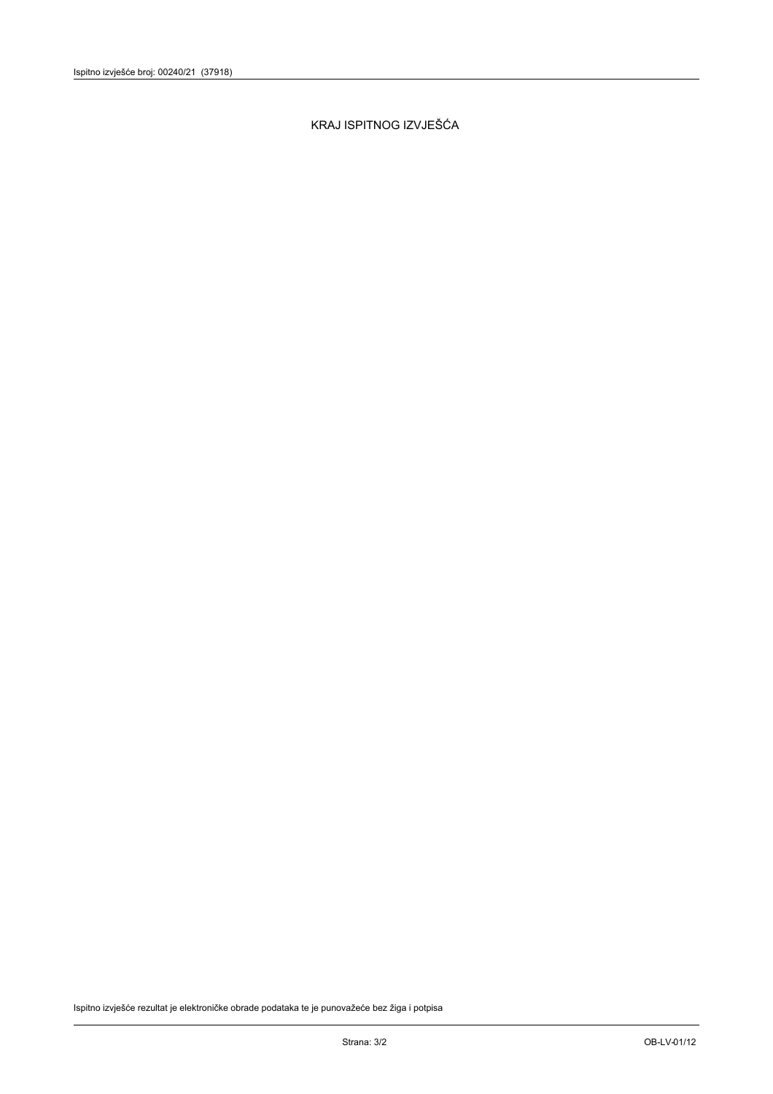KRAJ ISPITNOG IZVJEŠĆA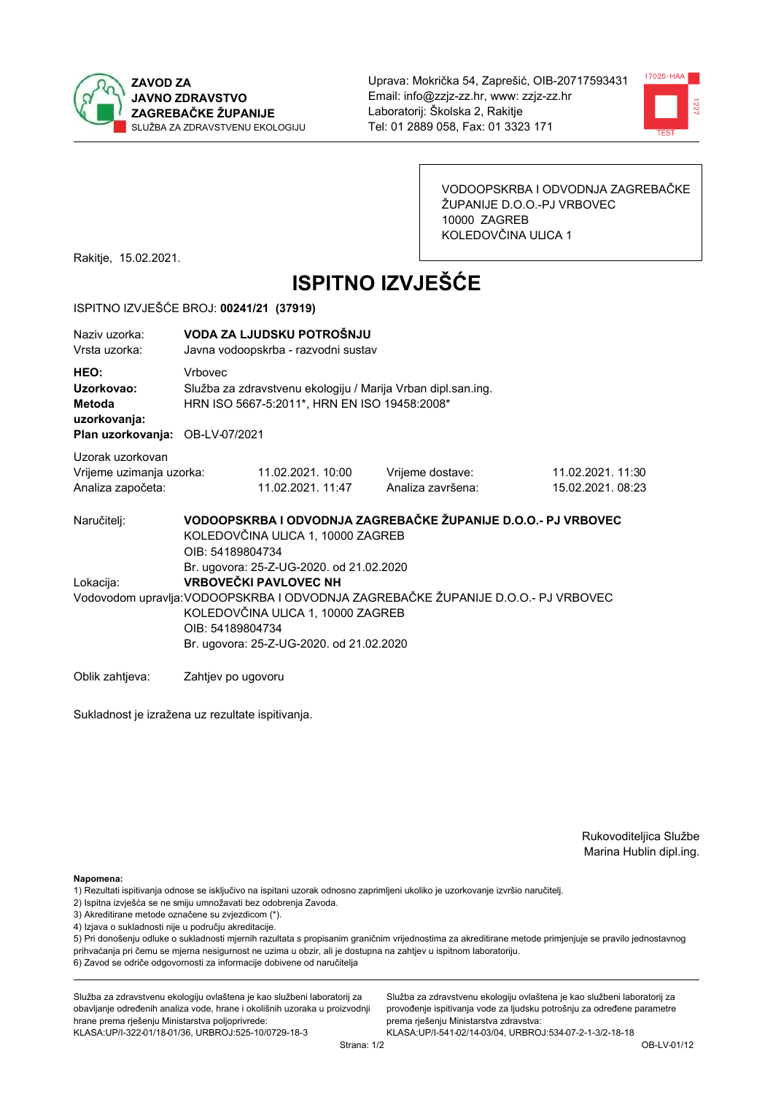



VODOOPSKRBA I ODVODNJA ZAGREBAČKE ŽUPANIJE D.O.O.-PJ VRBOVEC 10000 ZAGREB KOLEDOVČINA ULICA 1

Rakitje, 15.02.2021.

# **ISPITNO IZVJEŠĆE**

### ISPITNO IZVJEŠĆE BROJ: 00241/21 (37919)

| Naziv uzorka:<br>Vrsta uzorka:                                                  |                                                                                                                                                                                                                                                                    | VODA ZA LJUDSKU POTROŠNJU<br>Javna vodoopskrba - razvodni sustav                                             |                                                               |                                        |  |  |
|---------------------------------------------------------------------------------|--------------------------------------------------------------------------------------------------------------------------------------------------------------------------------------------------------------------------------------------------------------------|--------------------------------------------------------------------------------------------------------------|---------------------------------------------------------------|----------------------------------------|--|--|
| HEO:<br>Uzorkovao:<br>Metoda<br>uzorkovanja:<br>Plan uzorkovanja: OB-LV-07/2021 | <b>Vrhovec</b>                                                                                                                                                                                                                                                     | Služba za zdravstvenu ekologiju / Marija Vrban dipl.san.ing.<br>HRN ISO 5667-5:2011*, HRN EN ISO 19458:2008* |                                                               |                                        |  |  |
| Uzorak uzorkovan<br>Vrijeme uzimanja uzorka:<br>Analiza započeta:               |                                                                                                                                                                                                                                                                    | 11.02.2021. 10:00<br>11.02.2021. 11:47                                                                       | Vrijeme dostave:<br>Analiza završena:                         | 11.02.2021. 11:30<br>15.02.2021. 08:23 |  |  |
| Naručitelj:                                                                     | OIB: 54189804734                                                                                                                                                                                                                                                   | KOLEDOVČINA ULICA 1, 10000 ZAGREB                                                                            | VODOOPSKRBA I ODVODNJA ZAGREBAČKE ŽUPANIJE D.O.O.- PJ VRBOVEC |                                        |  |  |
| Lokacija:                                                                       | Br. ugovora: 25-Z-UG-2020. od 21.02.2020<br><b>VRBOVEČKI PAVLOVEC NH</b><br>Vodovodom upravlja: VODOOPSKRBA I ODVODNJA ZAGREBAČKE ŽUPANIJE D.O.O.- PJ VRBOVEC<br>KOLEDOVČINA ULICA 1, 10000 ZAGREB<br>OIB: 54189804734<br>Br. ugovora: 25-Z-UG-2020. od 21.02.2020 |                                                                                                              |                                                               |                                        |  |  |
| Oblik zahtieva:                                                                 | Zahtiev po ugovoru                                                                                                                                                                                                                                                 |                                                                                                              |                                                               |                                        |  |  |

Sukladnost je izražena uz rezultate ispitivanja.

Rukovoditeljica Službe Marina Hublin dipl.ing.

Napomena:

- 1) Rezultati ispitivanja odnose se isključivo na ispitani uzorak odnosno zaprimljeni ukoliko je uzorkovanje izvršio naručiteli.
- 2) Ispitna izvješća se ne smiju umnožavati bez odobrenja Zavoda.
- 3) Akreditirane metode označene su zvjezdicom (\*).
- 4) Izjava o sukladnosti nije u području akreditacije.

5) Pri donošenju odluke o sukladnosti mjernih razultata s propisanim graničnim vrijednostima za akreditirane metode primjenjuje se pravilo jednostavnog prihvaćanja pri čemu se mjerna nesigurnost ne uzima u obzir, ali je dostupna na zahtjev u ispitnom laboratoriju.

6) Zavod se odriče odgovornosti za informacije dobivene od naručitelja

Služba za zdravstvenu ekologiju ovlaštena je kao službeni laboratorij za obavljanje određenih analiza vode, hrane i okolišnih uzoraka u proizvodnji hrane prema rješenju Ministarstva poljoprivrede: KLASA: UP/I-322-01/18-01/36, URBROJ: 525-10/0729-18-3

Služba za zdravstvenu ekologiju ovlaštena je kao službeni laboratorij za provođenje ispitivanja vode za ljudsku potrošnju za određene parametre prema riešenju Ministarstva zdravstva: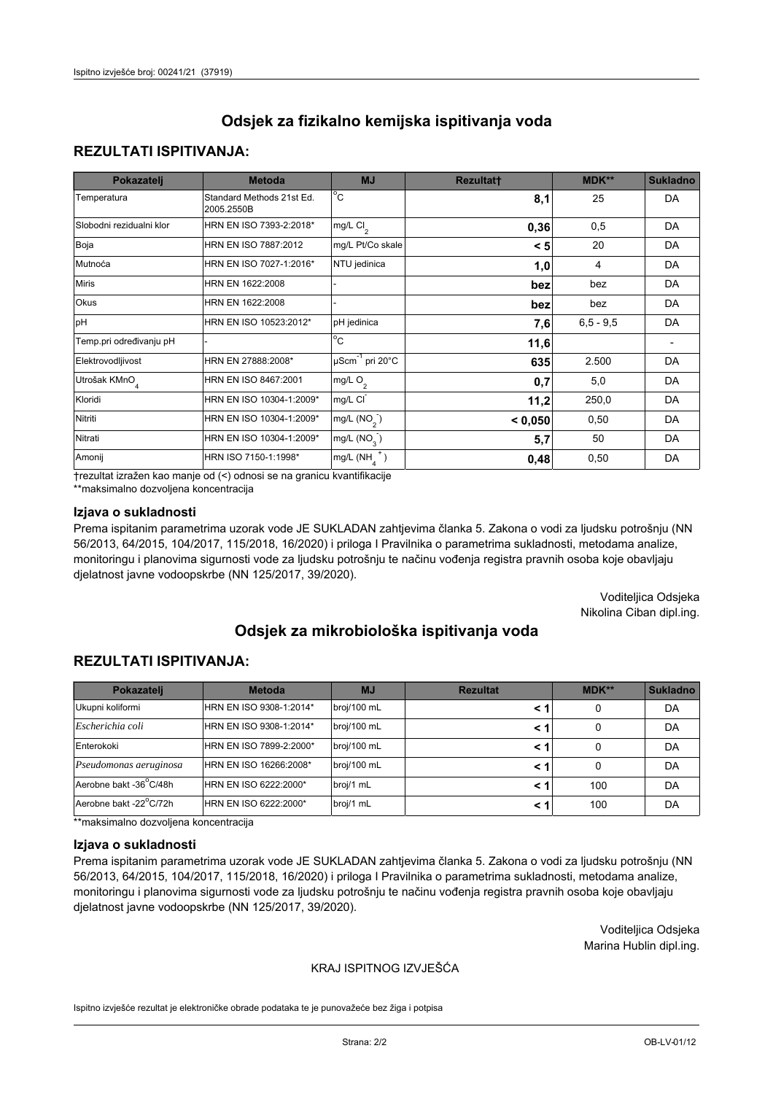## **REZULTATI ISPITIVANJA:**

| Pokazatelj                | <b>Metoda</b>                           | <b>MJ</b>                   | <b>Rezultatt</b> | MDK**       | <b>Sukladno</b> |
|---------------------------|-----------------------------------------|-----------------------------|------------------|-------------|-----------------|
| Temperatura               | Standard Methods 21st Ed.<br>2005.2550B | $^{\circ}$ C                | 8,1              | 25          | <b>DA</b>       |
| Slobodni rezidualni klor  | HRN EN ISO 7393-2:2018*                 | $mg/L$ Cl <sub>2</sub>      | 0,36             | 0,5         | DA              |
| Boja                      | HRN EN ISO 7887:2012                    | mg/L Pt/Co skale            | < 5              | 20          | DA              |
| Mutnoća                   | HRN EN ISO 7027-1:2016*                 | NTU jedinica                | 1,0              | 4           | DA              |
| <b>Miris</b>              | HRN EN 1622:2008                        |                             | bez              | bez         | DA              |
| Okus                      | HRN EN 1622:2008                        |                             | bez              | bez         | DA              |
| pH                        | HRN EN ISO 10523:2012*                  | pH jedinica                 | 7,6              | $6,5 - 9,5$ | <b>DA</b>       |
| Temp.pri određivanju pH   |                                         | $\overline{c}$              | 11,6             |             |                 |
| Elektrovodljivost         | HRN EN 27888:2008*                      | µScm <sup>-1</sup> pri 20°C | 635              | 2.500       | DA              |
| Utrošak KMnO <sub>4</sub> | HRN EN ISO 8467:2001                    | mg/L O <sub>2</sub>         | 0,7              | 5,0         | DA              |
| Kloridi                   | HRN EN ISO 10304-1:2009*                | mg/L CI                     | 11,2             | 250,0       | DA              |
| Nitriti                   | HRN EN ISO 10304-1:2009*                | mg/L $(NO2)$                | < 0,050          | 0,50        | DA              |
| Nitrati                   | HRN EN ISO 10304-1:2009*                | mg/L (NO <sub>3</sub> )     | 5,7              | 50          | DA              |
| Amonij                    | HRN ISO 7150-1:1998*                    | $mg/L(NH_A^+)$              | 0,48             | 0,50        | <b>DA</b>       |

trezultat izražen kao manje od (<) odnosi se na granicu kvantifikacije

\*\*maksimalno dozvoljena koncentracija

### Izjava o sukladnosti

Prema ispitanim parametrima uzorak vode JE SUKLADAN zahtjevima članka 5. Zakona o vodi za ljudsku potrošnju (NN 56/2013, 64/2015, 104/2017, 115/2018, 16/2020) i priloga I Pravilnika o parametrima sukladnosti, metodama analize, monitoringu i planovima sigurnosti vode za ljudsku potrošnju te načinu vođenja registra pravnih osoba koje obavljaju djelatnost javne vodoopskrbe (NN 125/2017, 39/2020).

> Voditeljica Odsjeka Nikolina Ciban dipl.ing.

# Odsiek za mikrobiološka ispitivanja voda

## **REZULTATI ISPITIVANJA:**

| Pokazatelj             | <b>Metoda</b>           | <b>MJ</b>   | <b>Rezultat</b> | $MDK**$ | <b>Sukladno</b> |
|------------------------|-------------------------|-------------|-----------------|---------|-----------------|
| Ukupni koliformi       | HRN EN ISO 9308-1:2014* | broj/100 mL | < 1             | 0       | DA              |
| Escherichia coli       | HRN EN ISO 9308-1:2014* | broj/100 mL | < 1             | 0       | DA              |
| Enterokoki             | HRN EN ISO 7899-2:2000* | broj/100 mL | < 1             |         | DA              |
| Pseudomonas aeruginosa | HRN EN ISO 16266:2008*  | broj/100 mL | < 1             | 0       | DA              |
| Aerobne bakt -36°C/48h | HRN EN ISO 6222:2000*   | broj/1 mL   | < 1             | 100     | DA              |
| Aerobne bakt -22°C/72h | HRN EN ISO 6222:2000*   | broj/1 mL   | < 1             | 100     | DA              |

\*\*maksimalno dozvoljena koncentracija

#### Izjava o sukladnosti

Prema ispitanim parametrima uzorak vode JE SUKLADAN zahtjevima članka 5. Zakona o vodi za ljudsku potrošnju (NN 56/2013, 64/2015, 104/2017, 115/2018, 16/2020) i priloga I Pravilnika o parametrima sukladnosti, metodama analize, monitoringu i planovima sigurnosti vode za ljudsku potrošnju te načinu vođenja registra pravnih osoba koje obavljaju djelatnost javne vodoopskrbe (NN 125/2017, 39/2020).

> Voditeljica Odsjeka Marina Hublin dipl.ing.

### KRAJ ISPITNOG IZVJEŠĆA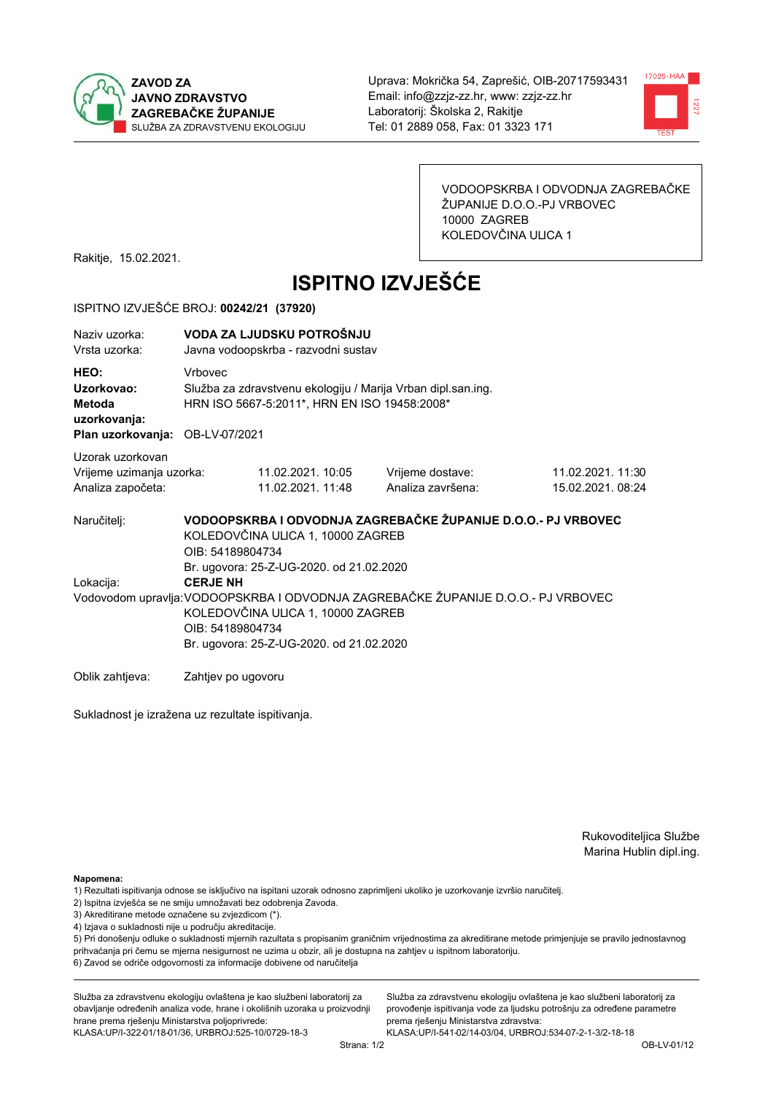



VODOOPSKRBA I ODVODNJA ZAGREBAČKE ŽUPANIJE D.O.O.-PJ VRBOVEC 10000 ZAGREB KOLEDOVČINA ULICA 1

Rakitje, 15.02.2021.

# **ISPITNO IZVJEŠĆE**

### ISPITNO IZVJEŠĆE BROJ: 00242/21 (37920)

| Naziv uzorka:<br>Vrsta uzorka:                                                  |                                                                                                                                                                                                           | VODA ZA LJUDSKU POTROŠNJU<br>Javna vodoopskrba - razvodni sustav                                             |                                                               |                                      |  |  |
|---------------------------------------------------------------------------------|-----------------------------------------------------------------------------------------------------------------------------------------------------------------------------------------------------------|--------------------------------------------------------------------------------------------------------------|---------------------------------------------------------------|--------------------------------------|--|--|
| HEO:<br>Uzorkovao:<br>Metoda<br>uzorkovanja:<br>Plan uzorkovanja: OB-LV-07/2021 | <b>Vrhovec</b>                                                                                                                                                                                            | Služba za zdravstvenu ekologiju / Marija Vrban dipl.san.ing.<br>HRN ISO 5667-5:2011*, HRN EN ISO 19458:2008* |                                                               |                                      |  |  |
| Uzorak uzorkovan<br>Vrijeme uzimanja uzorka:<br>Analiza započeta:               |                                                                                                                                                                                                           | 11.02.2021. 10:05<br>11.02.2021. 11:48                                                                       | Vrijeme dostave:<br>Analiza završena:                         | 11.02.2021.11:30<br>15.02.2021.08:24 |  |  |
| Naručitelj:                                                                     | OIB: 54189804734                                                                                                                                                                                          | KOLEDOVČINA ULICA 1, 10000 ZAGREB<br>Br. ugovora: 25-Z-UG-2020. od 21.02.2020                                | VODOOPSKRBA I ODVODNJA ZAGREBAČKE ŽUPANIJE D.O.O.- PJ VRBOVEC |                                      |  |  |
| Lokacija:                                                                       | <b>CERJE NH</b><br>Vodovodom upravlja: VODOOPSKRBA I ODVODNJA ZAGREBAČKE ŽUPANIJE D.O.O.- PJ VRBOVEC<br>KOLEDOVČINA ULICA 1, 10000 ZAGREB<br>OIB: 54189804734<br>Br. ugovora: 25-Z-UG-2020. od 21.02.2020 |                                                                                                              |                                                               |                                      |  |  |
| Oblik zahtjeva:                                                                 | Zahtjev po ugovoru                                                                                                                                                                                        |                                                                                                              |                                                               |                                      |  |  |

Sukladnost je izražena uz rezultate ispitivanja.

Rukovoditeljica Službe Marina Hublin dipl.ing.

Napomena:

- 1) Rezultati ispitivanja odnose se isključivo na ispitani uzorak odnosno zaprimljeni ukoliko je uzorkovanje izvršio naručiteli.
- 2) Ispitna izvješća se ne smiju umnožavati bez odobrenja Zavoda.
- 3) Akreditirane metode označene su zvjezdicom (\*).
- 4) Izjava o sukladnosti nije u području akreditacije.

5) Pri donošenju odluke o sukladnosti mjernih razultata s propisanim graničnim vrijednostima za akreditirane metode primjenjuje se pravilo jednostavnog prihvaćanja pri čemu se mjerna nesigurnost ne uzima u obzir, ali je dostupna na zahtjev u ispitnom laboratoriju.

6) Zavod se odriče odgovornosti za informacije dobivene od naručitelja

Služba za zdravstvenu ekologiju ovlaštena je kao službeni laboratorij za obavljanje određenih analiza vode, hrane i okolišnih uzoraka u proizvodnji hrane prema rješenju Ministarstva poljoprivrede: KLASA: UP/I-322-01/18-01/36, URBROJ: 525-10/0729-18-3

Služba za zdravstvenu ekologiju ovlaštena je kao službeni laboratorij za provođenje ispitivanja vode za ljudsku potrošnju za određene parametre prema riešenju Ministarstva zdravstva: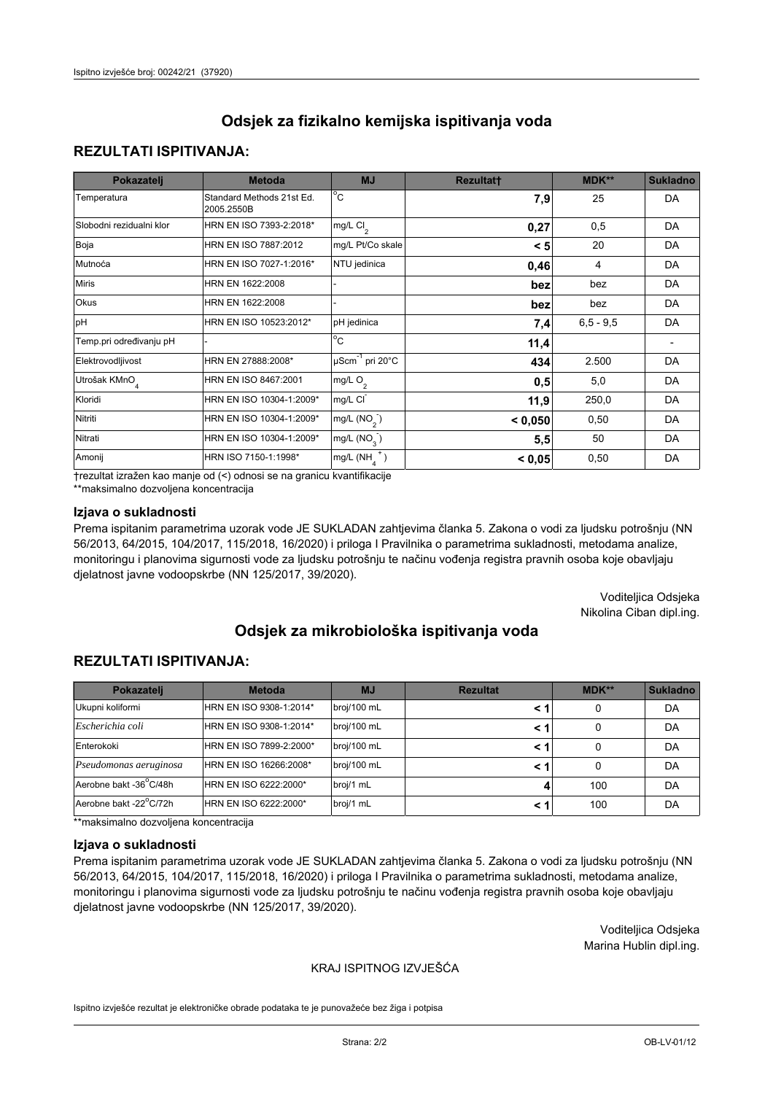## **REZULTATI ISPITIVANJA:**

| Pokazatelj                | <b>Metoda</b>                           | <b>MJ</b>                   | <b>Rezultatt</b> | MDK**       | <b>Sukladno</b> |
|---------------------------|-----------------------------------------|-----------------------------|------------------|-------------|-----------------|
| Temperatura               | Standard Methods 21st Ed.<br>2005.2550B | $^{\circ}$ C                | 7,9              | 25          | <b>DA</b>       |
| Slobodni rezidualni klor  | HRN EN ISO 7393-2:2018*                 | $mg/L$ Cl <sub>2</sub>      | 0,27             | 0,5         | DA              |
| Boja                      | HRN EN ISO 7887:2012                    | mg/L Pt/Co skale            | < 5              | 20          | DA              |
| Mutnoća                   | HRN EN ISO 7027-1:2016*                 | NTU jedinica                | 0,46             | 4           | DA              |
| <b>Miris</b>              | HRN EN 1622:2008                        |                             | bez              | bez         | DA              |
| Okus                      | HRN EN 1622:2008                        |                             | bez              | bez         | DA              |
| pH                        | HRN EN ISO 10523:2012*                  | pH jedinica                 | 7,4              | $6,5 - 9,5$ | <b>DA</b>       |
| Temp.pri određivanju pH   |                                         | $\overline{c}$              | 11,4             |             |                 |
| Elektrovodljivost         | HRN EN 27888:2008*                      | µScm <sup>-1</sup> pri 20°C | 434              | 2.500       | DA              |
| Utrošak KMnO <sub>4</sub> | HRN EN ISO 8467:2001                    | mg/L O <sub>2</sub>         | 0,5              | 5,0         | DA              |
| Kloridi                   | HRN EN ISO 10304-1:2009*                | mg/L CI                     | 11,9             | 250,0       | DA              |
| Nitriti                   | HRN EN ISO 10304-1:2009*                | mg/L $(NO2)$                | < 0,050          | 0,50        | DA              |
| Nitrati                   | HRN EN ISO 10304-1:2009*                | mg/L (NO <sub>3</sub> )     | 5,5              | 50          | DA              |
| Amonij                    | HRN ISO 7150-1:1998*                    | $mg/L(NH_A^+)$              | < 0,05           | 0,50        | DA              |

trezultat izražen kao manje od (<) odnosi se na granicu kvantifikacije

\*\*maksimalno dozvoljena koncentracija

### Izjava o sukladnosti

Prema ispitanim parametrima uzorak vode JE SUKLADAN zahtjevima članka 5. Zakona o vodi za ljudsku potrošnju (NN 56/2013, 64/2015, 104/2017, 115/2018, 16/2020) i priloga I Pravilnika o parametrima sukladnosti, metodama analize, monitoringu i planovima sigurnosti vode za ljudsku potrošnju te načinu vođenja registra pravnih osoba koje obavljaju djelatnost javne vodoopskrbe (NN 125/2017, 39/2020).

> Voditeljica Odsjeka Nikolina Ciban dipl.ing.

# Odsiek za mikrobiološka ispitivanja voda

## **REZULTATI ISPITIVANJA:**

| Pokazatelj             | <b>Metoda</b>           | <b>MJ</b>   | <b>Rezultat</b> | MDK** | <b>Sukladno</b> |
|------------------------|-------------------------|-------------|-----------------|-------|-----------------|
| Ukupni koliformi       | HRN EN ISO 9308-1:2014* | broj/100 mL |                 | 0     | DA              |
| Escherichia coli       | HRN EN ISO 9308-1:2014* | broj/100 mL | < 1             | 0     | DA              |
| Enterokoki             | HRN EN ISO 7899-2:2000* | broj/100 mL | < 1             | 0     | DA              |
| Pseudomonas aeruginosa | HRN EN ISO 16266:2008*  | broj/100 mL | < 1             | 0     | DA              |
| Aerobne bakt -36°C/48h | HRN EN ISO 6222:2000*   | broj/1 mL   |                 | 100   | DA              |
| Aerobne bakt -22°C/72h | HRN EN ISO 6222:2000*   | broj/1 mL   | < 1             | 100   | DA              |

\*\*maksimalno dozvoljena koncentracija

#### Izjava o sukladnosti

Prema ispitanim parametrima uzorak vode JE SUKLADAN zahtjevima članka 5. Zakona o vodi za ljudsku potrošnju (NN 56/2013, 64/2015, 104/2017, 115/2018, 16/2020) i priloga I Pravilnika o parametrima sukladnosti, metodama analize, monitoringu i planovima sigurnosti vode za ljudsku potrošnju te načinu vođenja registra pravnih osoba koje obavljaju djelatnost javne vodoopskrbe (NN 125/2017, 39/2020).

> Voditeljica Odsjeka Marina Hublin dipl.ing.

### KRAJ ISPITNOG IZVJEŠĆA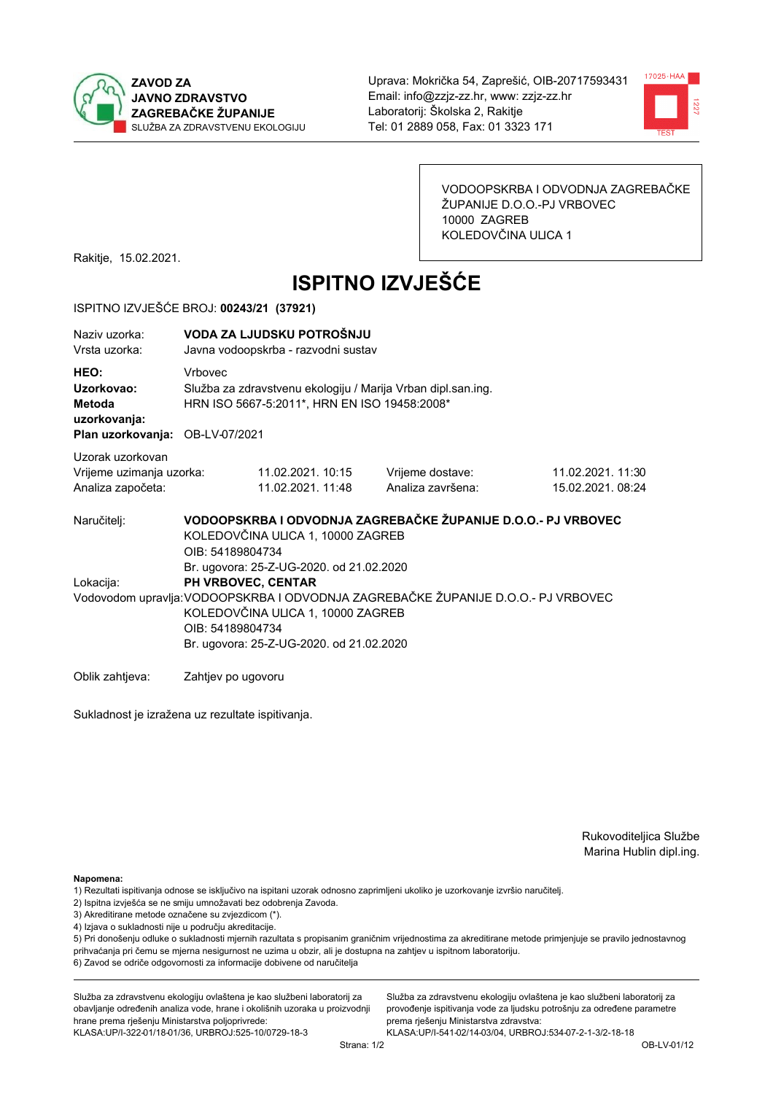



VODOOPSKRBA I ODVODNJA ZAGREBAČKE ŽUPANIJE D.O.O.-PJ VRBOVEC 10000 ZAGREB KOLEDOVČINA ULICA 1

Rakitje, 15.02.2021.

# **ISPITNO IZVJEŠĆE**

### ISPITNO IZVJEŠĆE BROJ: 00243/21 (37921)

| Naziy uzorka:<br>Vrsta uzorka:                                                  |                    | VODA ZA LJUDSKU POTROŠNJU<br>Javna vodoopskrba - razvodni sustav                                             |                                                                                   |                                       |  |  |
|---------------------------------------------------------------------------------|--------------------|--------------------------------------------------------------------------------------------------------------|-----------------------------------------------------------------------------------|---------------------------------------|--|--|
| HEO:<br>Uzorkovao:<br>Metoda<br>uzorkovanja:<br>Plan uzorkovanja: OB-LV-07/2021 | <b>Vrhovec</b>     | Služba za zdravstvenu ekologiju / Marija Vrban dipl.san.ing.<br>HRN ISO 5667-5:2011*, HRN EN ISO 19458:2008* |                                                                                   |                                       |  |  |
|                                                                                 |                    |                                                                                                              |                                                                                   |                                       |  |  |
| Uzorak uzorkovan<br>Vrijeme uzimanja uzorka:<br>Analiza započeta:               |                    | 11.02.2021. 10:15<br>11.02.2021. 11:48                                                                       | Vrijeme dostave:<br>Analiza završena:                                             | 11.02.2021. 11:30<br>15.02.2021.08:24 |  |  |
| Naručitelj:                                                                     | OIB: 54189804734   | KOLEDOVČINA ULICA 1, 10000 ZAGREB<br>Br. ugovora: 25-Z-UG-2020. od 21.02.2020                                | VODOOPSKRBA I ODVODNJA ZAGREBAČKE ŽUPANIJE D.O.O.- PJ VRBOVEC                     |                                       |  |  |
| Lokacija:                                                                       | OIB: 54189804734   | PH VRBOVEC, CENTAR<br>KOLEDOVČINA ULICA 1, 10000 ZAGREB<br>Br. ugovora: 25-Z-UG-2020. od 21.02.2020          | Vodovodom upravlja: VODOOPSKRBA I ODVODNJA ZAGREBAČKE ŽUPANIJE D.O.O.- PJ VRBOVEC |                                       |  |  |
| Oblik zahtieva:                                                                 | Zahtjev po ugovoru |                                                                                                              |                                                                                   |                                       |  |  |

Sukladnost je izražena uz rezultate ispitivanja.

Rukovoditeljica Službe Marina Hublin dipl.ing.

Napomena:

- 1) Rezultati ispitivanja odnose se isključivo na ispitani uzorak odnosno zaprimljeni ukoliko je uzorkovanje izvršio naručiteli.
- 2) Ispitna izvješća se ne smiju umnožavati bez odobrenja Zavoda.
- 3) Akreditirane metode označene su zvjezdicom (\*).
- 4) Izjava o sukladnosti nije u području akreditacije.

5) Pri donošenju odluke o sukladnosti mjernih razultata s propisanim graničnim vrijednostima za akreditirane metode primjenjuje se pravilo jednostavnog prihvaćanja pri čemu se mjerna nesigurnost ne uzima u obzir, ali je dostupna na zahtjev u ispitnom laboratoriju.

6) Zavod se odriče odgovornosti za informacije dobivene od naručitelja

Služba za zdravstvenu ekologiju ovlaštena je kao službeni laboratorij za obavljanje određenih analiza vode, hrane i okolišnih uzoraka u proizvodnji hrane prema rješenju Ministarstva poljoprivrede: KLASA: UP/I-322-01/18-01/36, URBROJ: 525-10/0729-18-3

Služba za zdravstvenu ekologiju ovlaštena je kao službeni laboratorij za provođenje ispitivanja vode za ljudsku potrošnju za određene parametre prema riešenju Ministarstva zdravstva: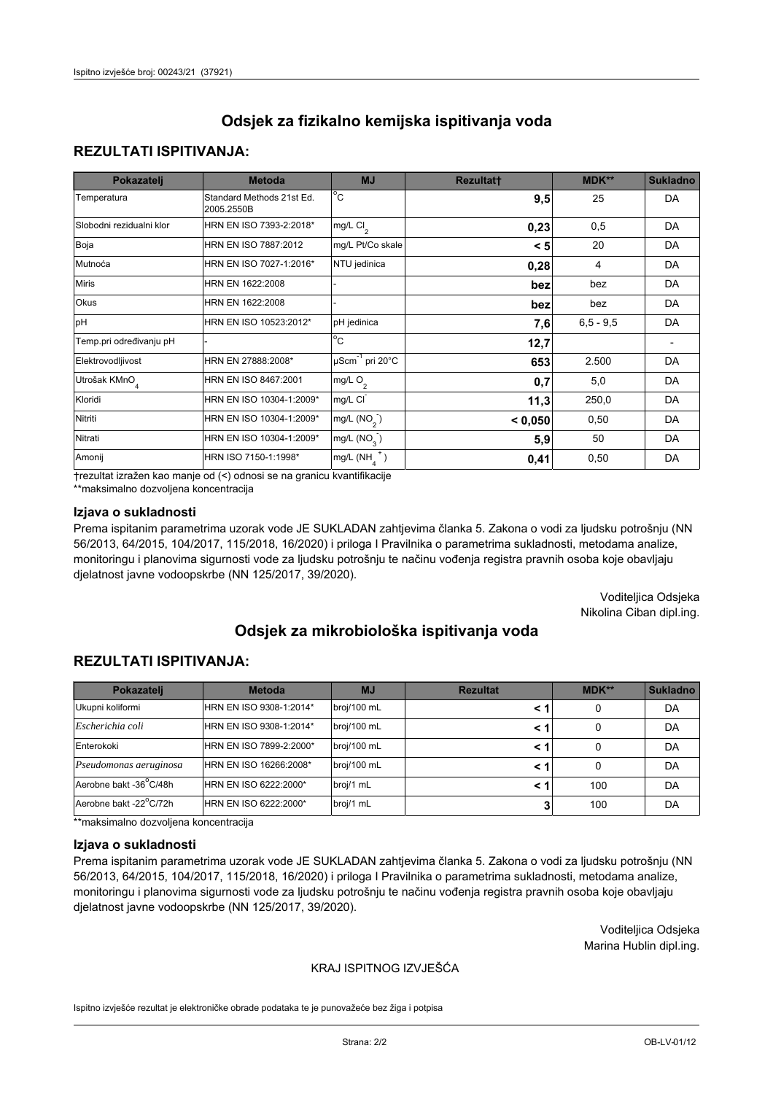### **REZULTATI ISPITIVANJA:**

| Pokazatelj                | <b>Metoda</b>                           | <b>MJ</b>                        | <b>Rezultatt</b> | MDK**       | <b>Sukladno</b> |
|---------------------------|-----------------------------------------|----------------------------------|------------------|-------------|-----------------|
| Temperatura               | Standard Methods 21st Ed.<br>2005.2550B | $^{\circ}$ C                     | 9,5              | 25          | <b>DA</b>       |
| Slobodni rezidualni klor  | HRN EN ISO 7393-2:2018*                 | mg/L $Cl2$                       | 0,23             | 0,5         | <b>DA</b>       |
| Boja                      | HRN EN ISO 7887:2012                    | mg/L Pt/Co skale                 | < 5              | 20          | <b>DA</b>       |
| Mutnoća                   | HRN EN ISO 7027-1:2016*                 | NTU jedinica                     | 0,28             | 4           | DA              |
| <b>Miris</b>              | HRN EN 1622:2008                        |                                  | bez              | bez         | DA              |
| Okus                      | HRN EN 1622:2008                        |                                  | bez              | bez         | DA              |
| pH                        | HRN EN ISO 10523:2012*                  | pH jedinica                      | 7,6              | $6,5 - 9,5$ | <b>DA</b>       |
| Temp.pri određivanju pH   |                                         | $\overline{c}$                   | 12,7             |             |                 |
| Elektrovodljivost         | HRN EN 27888:2008*                      | $\mu$ Scm <sup>-1</sup> pri 20°C | 653              | 2.500       | DA              |
| Utrošak KMnO <sub>4</sub> | HRN EN ISO 8467:2001                    | mg/L O <sub>2</sub>              | 0,7              | 5,0         | <b>DA</b>       |
| Kloridi                   | HRN EN ISO 10304-1:2009*                | mg/L CI                          | 11,3             | 250,0       | DA              |
| Nitriti                   | HRN EN ISO 10304-1:2009*                | mg/L (NO <sub>2</sub> )          | < 0.050          | 0,50        | <b>DA</b>       |
| Nitrati                   | HRN EN ISO 10304-1:2009*                | mg/L $(NO3)$                     | 5,9              | 50          | DA              |
| Amonij                    | HRN ISO 7150-1:1998*                    | mg/L $(NH_A^+)$                  | 0,41             | 0,50        | DA              |

trezultat izražen kao manje od (<) odnosi se na granicu kvantifikacije

\*\*maksimalno dozvoljena koncentracija

### Izjava o sukladnosti

Prema ispitanim parametrima uzorak vode JE SUKLADAN zahtjevima članka 5. Zakona o vodi za ljudsku potrošnju (NN 56/2013, 64/2015, 104/2017, 115/2018, 16/2020) i priloga I Pravilnika o parametrima sukladnosti, metodama analize, monitoringu i planovima sigurnosti vode za ljudsku potrošnju te načinu vođenja registra pravnih osoba koje obavljaju djelatnost javne vodoopskrbe (NN 125/2017, 39/2020).

> Voditeljica Odsjeka Nikolina Ciban dipl.ing.

## Odsiek za mikrobiološka ispitivanja voda

### **REZULTATI ISPITIVANJA:**

| Pokazatelj             | <b>Metoda</b>           | <b>MJ</b>   | <b>Rezultat</b> | $MDK**$ | <b>Sukladno</b> |
|------------------------|-------------------------|-------------|-----------------|---------|-----------------|
| Ukupni koliformi       | HRN EN ISO 9308-1:2014* | broj/100 mL | < 1             | 0       | DA              |
| Escherichia coli       | HRN EN ISO 9308-1:2014* | broj/100 mL | < 1             | 0       | DA              |
| Enterokoki             | HRN EN ISO 7899-2:2000* | broj/100 mL | < 1             |         | DA              |
| Pseudomonas aeruginosa | HRN EN ISO 16266:2008*  | broj/100 mL | < 1             | 0       | DA              |
| Aerobne bakt -36°C/48h | HRN EN ISO 6222:2000*   | broj/1 mL   | < 1             | 100     | DA              |
| Aerobne bakt -22°C/72h | HRN EN ISO 6222:2000*   | broj/1 mL   |                 | 100     | DA              |

\*\*maksimalno dozvoljena koncentracija

#### Izjava o sukladnosti

Prema ispitanim parametrima uzorak vode JE SUKLADAN zahtjevima članka 5. Zakona o vodi za ljudsku potrošnju (NN 56/2013, 64/2015, 104/2017, 115/2018, 16/2020) i priloga I Pravilnika o parametrima sukladnosti, metodama analize, monitoringu i planovima sigurnosti vode za ljudsku potrošnju te načinu vođenja registra pravnih osoba koje obavljaju djelatnost javne vodoopskrbe (NN 125/2017, 39/2020).

> Voditeljica Odsjeka Marina Hublin dipl.ing.

### KRAJ ISPITNOG IZVJEŠĆA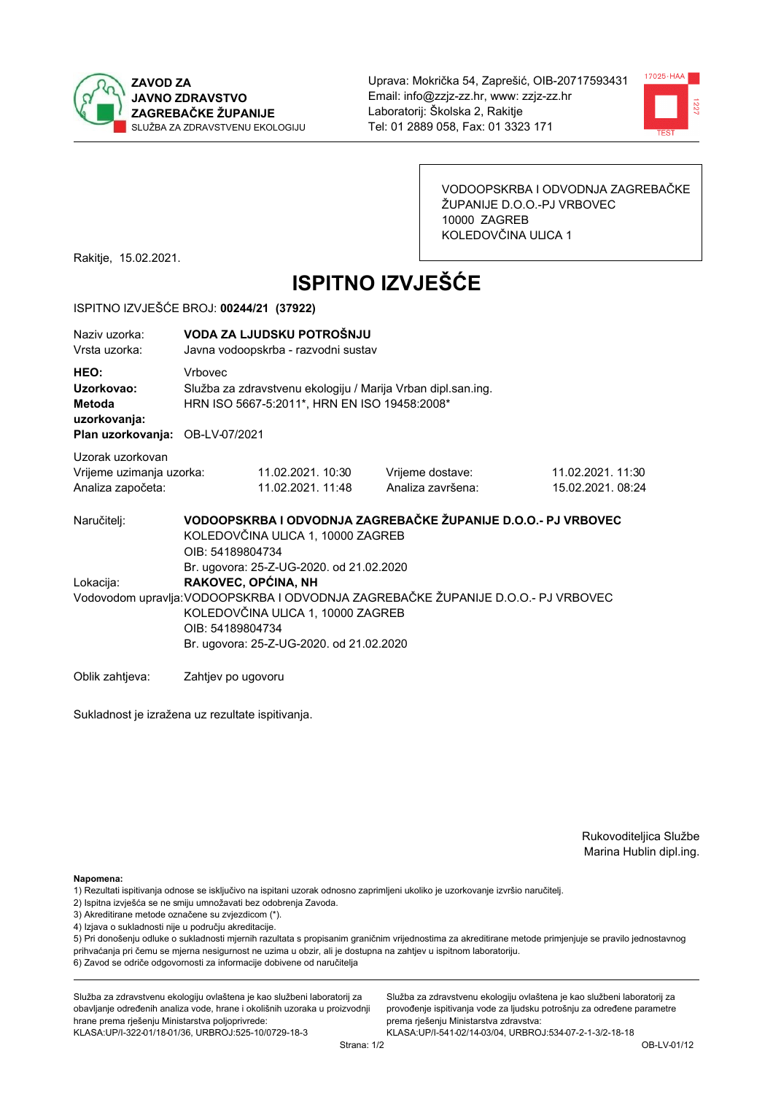



VODOOPSKRBA I ODVODNJA ZAGREBAČKE ŽUPANIJE D.O.O.-PJ VRBOVEC 10000 ZAGREB KOLEDOVČINA ULICA 1

Rakitje, 15.02.2021.

# **ISPITNO IZVJEŠĆE**

### ISPITNO IZVJEŠĆE BROJ: 00244/21 (37922)

| Naziv uzorka:<br>Vrsta uzorka:                                                  | VODA ZA LJUDSKU POTROŠNJU<br>Javna vodoopskrba - razvodni sustav |                                                                                                              |                                                                                   |                                      |  |  |
|---------------------------------------------------------------------------------|------------------------------------------------------------------|--------------------------------------------------------------------------------------------------------------|-----------------------------------------------------------------------------------|--------------------------------------|--|--|
| HEO:<br>Uzorkovao:<br>Metoda<br>uzorkovanja:<br>Plan uzorkovanja: OB-LV-07/2021 | <b>Vrhovec</b>                                                   | Služba za zdravstvenu ekologiju / Marija Vrban dipl.san.ing.<br>HRN ISO 5667-5:2011*, HRN EN ISO 19458:2008* |                                                                                   |                                      |  |  |
|                                                                                 |                                                                  |                                                                                                              |                                                                                   |                                      |  |  |
| Uzorak uzorkovan<br>Vrijeme uzimanja uzorka:<br>Analiza započeta:               |                                                                  | 11.02.2021. 10:30<br>11.02.2021. 11:48                                                                       | Vrijeme dostave:<br>Analiza završena:                                             | 11.02.2021.11:30<br>15.02.2021.08:24 |  |  |
| Naručitelj:                                                                     | OIB: 54189804734                                                 | KOLEDOVČINA ULICA 1, 10000 ZAGREB                                                                            | VODOOPSKRBA I ODVODNJA ZAGREBAČKE ŽUPANIJE D.O.O.- PJ VRBOVEC                     |                                      |  |  |
| Lokacija:                                                                       | RAKOVEC, OPĆINA, NH                                              | Br. ugovora: 25-Z-UG-2020. od 21.02.2020                                                                     |                                                                                   |                                      |  |  |
|                                                                                 | OIB: 54189804734                                                 | KOLEDOVČINA ULICA 1, 10000 ZAGREB<br>Br. ugovora: 25-Z-UG-2020. od 21.02.2020                                | Vodovodom upravlja: VODOOPSKRBA I ODVODNJA ZAGREBAČKE ŽUPANIJE D.O.O.- PJ VRBOVEC |                                      |  |  |
| Oblik zahtjeva:                                                                 | Zahtjev po ugovoru                                               |                                                                                                              |                                                                                   |                                      |  |  |

Sukladnost je izražena uz rezultate ispitivanja.

Rukovoditeljica Službe Marina Hublin dipl.ing.

Napomena:

- 1) Rezultati ispitivanja odnose se isključivo na ispitani uzorak odnosno zaprimljeni ukoliko je uzorkovanje izvršio naručiteli.
- 2) Ispitna izvješća se ne smiju umnožavati bez odobrenja Zavoda.
- 3) Akreditirane metode označene su zvjezdicom (\*).
- 4) Izjava o sukladnosti nije u području akreditacije.

5) Pri donošenju odluke o sukladnosti mjernih razultata s propisanim graničnim vrijednostima za akreditirane metode primjenjuje se pravilo jednostavnog prihvaćanja pri čemu se mjerna nesigurnost ne uzima u obzir, ali je dostupna na zahtjev u ispitnom laboratoriju.

6) Zavod se odriče odgovornosti za informacije dobivene od naručitelja

Služba za zdravstvenu ekologiju ovlaštena je kao službeni laboratorij za obavljanje određenih analiza vode, hrane i okolišnih uzoraka u proizvodnji hrane prema rješenju Ministarstva poljoprivrede: KLASA: UP/I-322-01/18-01/36, URBROJ: 525-10/0729-18-3

Služba za zdravstvenu ekologiju ovlaštena je kao službeni laboratorij za provođenje ispitivanja vode za ljudsku potrošnju za određene parametre prema riešenju Ministarstva zdravstva: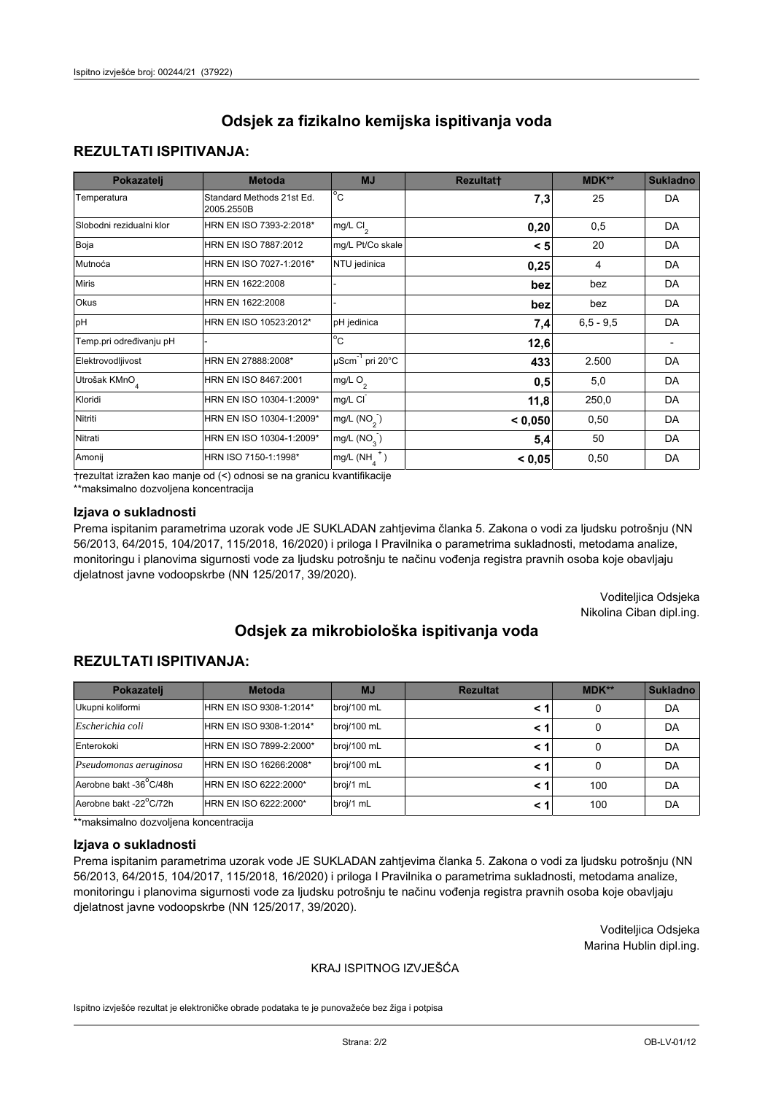## **REZULTATI ISPITIVANJA:**

| Pokazatelj                | <b>Metoda</b>                           | <b>MJ</b>                   | <b>Rezultatt</b> | MDK**       | <b>Sukladno</b> |
|---------------------------|-----------------------------------------|-----------------------------|------------------|-------------|-----------------|
| Temperatura               | Standard Methods 21st Ed.<br>2005.2550B | $^{\circ}$ C                | 7,3              | 25          | <b>DA</b>       |
| Slobodni rezidualni klor  | HRN EN ISO 7393-2:2018*                 | $mg/L$ Cl <sub>2</sub>      | 0,20             | 0,5         | DA              |
| Boja                      | HRN EN ISO 7887:2012                    | mg/L Pt/Co skale            | < 5              | 20          | DA              |
| Mutnoća                   | HRN EN ISO 7027-1:2016*                 | NTU jedinica                | 0,25             | 4           | DA              |
| <b>Miris</b>              | HRN EN 1622:2008                        |                             | bez              | bez         | DA              |
| Okus                      | HRN EN 1622:2008                        |                             | bez              | bez         | DA              |
| pH                        | HRN EN ISO 10523:2012*                  | pH jedinica                 | 7,4              | $6,5 - 9,5$ | <b>DA</b>       |
| Temp.pri određivanju pH   |                                         | $\overline{c}$              | 12,6             |             |                 |
| Elektrovodljivost         | HRN EN 27888:2008*                      | µScm <sup>-1</sup> pri 20°C | 433              | 2.500       | DA              |
| Utrošak KMnO <sub>4</sub> | HRN EN ISO 8467:2001                    | mg/L O <sub>2</sub>         | 0,5              | 5,0         | DA              |
| Kloridi                   | HRN EN ISO 10304-1:2009*                | mg/L CI                     | 11,8             | 250,0       | DA              |
| Nitriti                   | HRN EN ISO 10304-1:2009*                | mg/L $(NO2)$                | < 0,050          | 0,50        | DA              |
| Nitrati                   | HRN EN ISO 10304-1:2009*                | mg/L (NO <sub>3</sub> )     | 5,4              | 50          | DA              |
| Amonij                    | HRN ISO 7150-1:1998*                    | $mg/L(NH_A^+)$              | < 0,05           | 0,50        | DA              |

trezultat izražen kao manje od (<) odnosi se na granicu kvantifikacije

\*\*maksimalno dozvoljena koncentracija

### Izjava o sukladnosti

Prema ispitanim parametrima uzorak vode JE SUKLADAN zahtjevima članka 5. Zakona o vodi za ljudsku potrošnju (NN 56/2013, 64/2015, 104/2017, 115/2018, 16/2020) i priloga I Pravilnika o parametrima sukladnosti, metodama analize, monitoringu i planovima sigurnosti vode za ljudsku potrošnju te načinu vođenja registra pravnih osoba koje obavljaju djelatnost javne vodoopskrbe (NN 125/2017, 39/2020).

> Voditeljica Odsjeka Nikolina Ciban dipl.ing.

# Odsiek za mikrobiološka ispitivanja voda

## **REZULTATI ISPITIVANJA:**

| Pokazatelj             | <b>Metoda</b>           | <b>MJ</b>   | <b>Rezultat</b> | MDK** | Sukladno |
|------------------------|-------------------------|-------------|-----------------|-------|----------|
| Ukupni koliformi       | HRN EN ISO 9308-1:2014* | broj/100 mL |                 | 0     | DA       |
| Escherichia coli       | HRN EN ISO 9308-1:2014* | broj/100 mL | < 1             | 0     | DA       |
| Enterokoki             | HRN EN ISO 7899-2:2000* | broj/100 mL | < 1             | 0     | DA       |
| Pseudomonas aeruginosa | HRN EN ISO 16266:2008*  | broj/100 mL | < 1             | 0     | DA       |
| Aerobne bakt -36°C/48h | HRN EN ISO 6222:2000*   | broj/1 mL   | < 1             | 100   | DA       |
| Aerobne bakt -22°C/72h | HRN EN ISO 6222:2000*   | broj/1 mL   | < 1             | 100   | DA       |

\*\*maksimalno dozvoljena koncentracija

#### Izjava o sukladnosti

Prema ispitanim parametrima uzorak vode JE SUKLADAN zahtjevima članka 5. Zakona o vodi za ljudsku potrošnju (NN 56/2013, 64/2015, 104/2017, 115/2018, 16/2020) i priloga I Pravilnika o parametrima sukladnosti, metodama analize, monitoringu i planovima sigurnosti vode za ljudsku potrošnju te načinu vođenja registra pravnih osoba koje obavljaju djelatnost javne vodoopskrbe (NN 125/2017, 39/2020).

> Voditeljica Odsjeka Marina Hublin dipl.ing.

### KRAJ ISPITNOG IZVJEŠĆA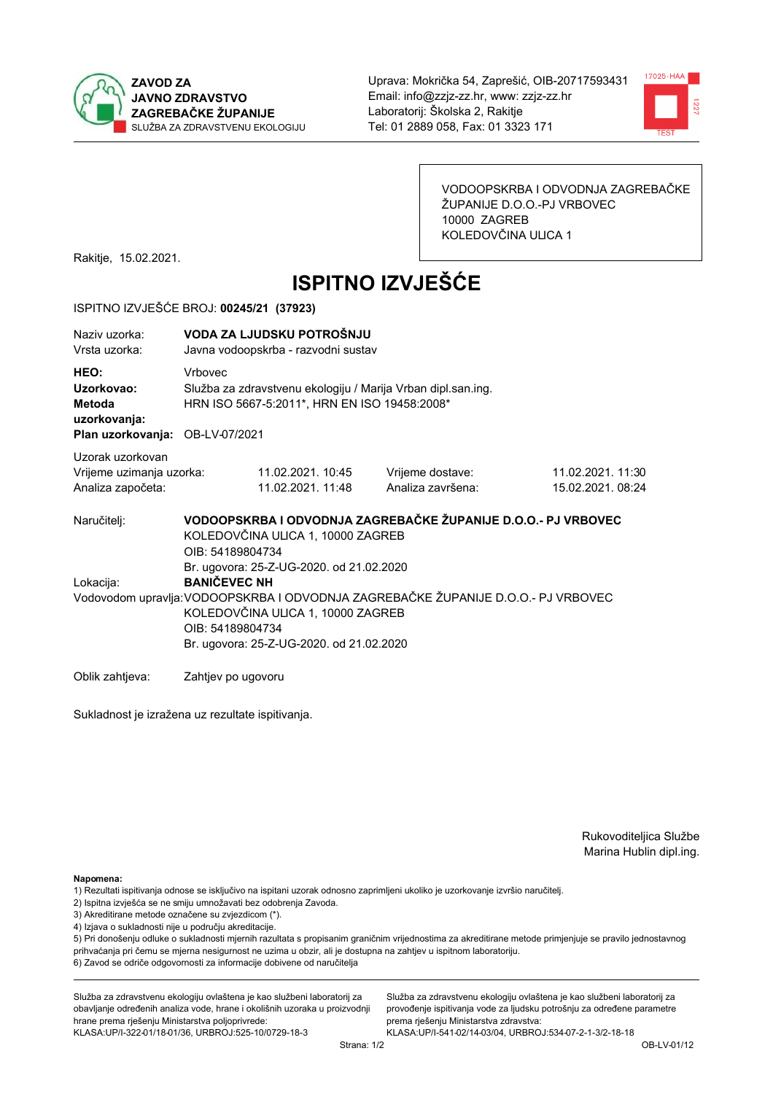



VODOOPSKRBA I ODVODNJA ZAGREBAČKE ŽUPANIJE D.O.O.-PJ VRBOVEC 10000 ZAGREB KOLEDOVČINA ULICA 1

Rakitje, 15.02.2021.

# **ISPITNO IZVJEŠĆE**

### ISPITNO IZVJEŠĆE BROJ: 00245/21 (37923)

| Naziv uzorka:<br>Vrsta uzorka:                                                  | VODA ZA LJUDSKU POTROŠNJU<br>Javna vodoopskrba - razvodni sustav                                                                                                                                              |                                        |                                       |                                       |  |  |  |
|---------------------------------------------------------------------------------|---------------------------------------------------------------------------------------------------------------------------------------------------------------------------------------------------------------|----------------------------------------|---------------------------------------|---------------------------------------|--|--|--|
| HEO:<br>Uzorkovao:<br>Metoda<br>uzorkovanja:<br>Plan uzorkovanja: OB-LV-07/2021 | <b>Vrhovec</b><br>Služba za zdravstvenu ekologiju / Marija Vrban dipl.san.ing.<br>HRN ISO 5667-5:2011*, HRN EN ISO 19458:2008*                                                                                |                                        |                                       |                                       |  |  |  |
| Uzorak uzorkovan<br>Vrijeme uzimanja uzorka:<br>Analiza započeta:               |                                                                                                                                                                                                               | 11.02.2021. 10:45<br>11.02.2021. 11:48 | Vrijeme dostave:<br>Analiza završena: | 11.02.2021. 11:30<br>15.02.2021.08:24 |  |  |  |
| Naručitelj:                                                                     | VODOOPSKRBA I ODVODNJA ZAGREBAČKE ŽUPANIJE D.O.O.- PJ VRBOVEC<br>KOLEDOVČINA ULICA 1, 10000 ZAGREB<br>OIB: 54189804734<br>Br. ugovora: 25-Z-UG-2020. od 21.02.2020                                            |                                        |                                       |                                       |  |  |  |
| Lokacija:                                                                       | <b>BANIČEVEC NH</b><br>Vodovodom upravlja: VODOOPSKRBA I ODVODNJA ZAGREBAČKE ŽUPANIJE D.O.O.- PJ VRBOVEC<br>KOLEDOVČINA ULICA 1, 10000 ZAGREB<br>OIB: 54189804734<br>Br. ugovora: 25-Z-UG-2020. od 21.02.2020 |                                        |                                       |                                       |  |  |  |
| Oblik zahtieva:                                                                 | Zahtjev po ugovoru                                                                                                                                                                                            |                                        |                                       |                                       |  |  |  |

Sukladnost je izražena uz rezultate ispitivanja.

Rukovoditeljica Službe Marina Hublin dipl.ing.

Napomena:

- 2) Ispitna izvješća se ne smiju umnožavati bez odobrenja Zavoda.
- 3) Akreditirane metode označene su zvjezdicom (\*).
- 4) Izjava o sukladnosti nije u području akreditacije.

5) Pri donošenju odluke o sukladnosti mjernih razultata s propisanim graničnim vrijednostima za akreditirane metode primjenjuje se pravilo jednostavnog prihvaćanja pri čemu se mjerna nesigurnost ne uzima u obzir, ali je dostupna na zahtjev u ispitnom laboratoriju.

6) Zavod se odriče odgovornosti za informacije dobivene od naručitelja

Služba za zdravstvenu ekologiju ovlaštena je kao službeni laboratorij za obavljanje određenih analiza vode, hrane i okolišnih uzoraka u proizvodnji hrane prema rješenju Ministarstva poljoprivrede: KLASA: UP/I-322-01/18-01/36, URBROJ: 525-10/0729-18-3

Služba za zdravstvenu ekologiju ovlaštena je kao službeni laboratorij za provođenje ispitivanja vode za ljudsku potrošnju za određene parametre prema riešenju Ministarstva zdravstva:

<sup>1)</sup> Rezultati ispitivanja odnose se isključivo na ispitani uzorak odnosno zaprimljeni ukoliko je uzorkovanje izvršio naručiteli.